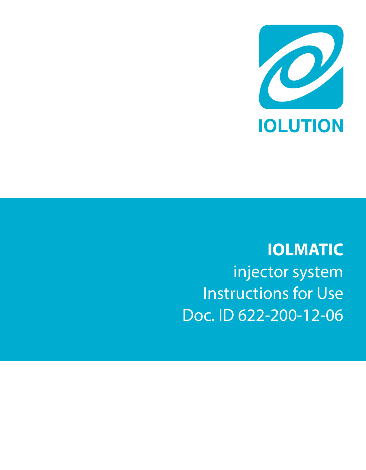

**IOLMATIC** injector system Instructions for Use Doc. ID 622-200-12-06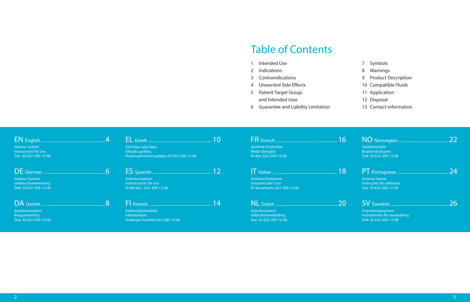## Table of Contents

- 1 Intended Use
- 2 Indications
- 3 Contraindications
- 4 Unwanted Side Effects
- 5 Patient Target Group and Intended User
- 6 Guarantee and Liability Limitation
- 7 Symbols
- 8 Warnings
- 9 Product Description
- 10 Compatible Fluids
- 11 Application
- 12 Disposal
- 13 Contact information

| injector system<br>Instructions for Use<br>Doc. ID 622-200-12-06            | Σύστημα εγχυτήρα<br>Οδηγίες χρήσης<br>Αναγνωριστικό εγγράφου ID 622-200-12-06 |    | Système d'injection<br>Mode d'emploi<br>ID doc. 622-200-12-06               | 16 | Injektorsystem<br>Bruksinstruksjone<br>Dok. ID 622-200-12-06                |  |
|-----------------------------------------------------------------------------|-------------------------------------------------------------------------------|----|-----------------------------------------------------------------------------|----|-----------------------------------------------------------------------------|--|
| DE German<br>Injektor-System<br>Gebrauchsanweisung<br>Dok. ID 622-200-12-06 | Sistema inyector<br>Instrucciones de uso<br>ID del doc.: 622-200-12-06        |    | Sistema d'iniezione<br>Istruzioni per l'uso<br>ID documento 622-200-12-06   | 18 | Sistema injetor<br>Instruções de utilização<br>Doc. ID 622-200-12-06        |  |
| DA Danish<br>Injektionssystem<br>Brugsanvisning<br>Dok. ID 622-200-12-06    | Injektorijärjestelmä<br>Käyttöohjeet<br>Asiakirjan tunniste 622-200-12-06     | 14 | NL Dutch<br>Injectiesysteem<br>Gebruikshandleiding<br>Doc. ID 622-200-12-06 | 20 | Insprutningssystem<br>Instruktioner för användning<br>Dok. ID 622-200-12-06 |  |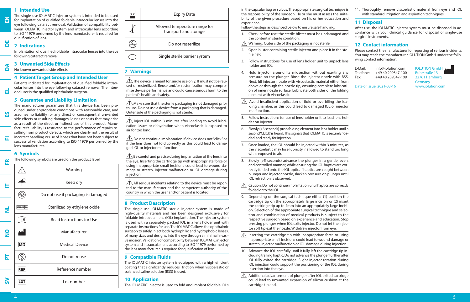#### **1 Intended Use**

**EN**

**DE**

**DA**

**EL**

**ES**

**FI**

**FR**

The single-use IOLMATIC injector system is intended to be used for implantation of qualified foldable intraocular lenses into the eye following cataract removal. Validation of compatibility between IOLMATIC injector system and intraocular lens according to ISO 11979 performed by the lens manufacturer is required for qualification of lens.

#### **2 Indications**

Implantation of qualified foldable intraocular lenses into the eye following cataract removal.

#### **3 Unwanted Side Effects**

No known unwanted side effects.

#### **4 Patient Target Group and Intended User**

Patients indicated for implantation of qualified foldable intraocular lenses into the eye following cataract removal. The intended user is the qualified ophthalmic surgeon.

#### **5 Guarantee and Liability Limitation**

The manufacturer guarantees that this device has been produced under appropriate conditions with reasonable care, and assumes no liability for any direct or consequential unwanted side effects or resulting damages, losses or costs that may arise as a result of the direct or indirect use of this product. Manufacturer's liability is restricted to the performance of repairs resulting from product defects, which are clearly not the result of incorrect handling or use of lenses that have not been subject to successful validation according to ISO 11979 performed by the lens manufacturer.

### **6 Symbols**

The following symbols are used on the product label.

 $\sqrt{1}$ Warning Keep dry **IT**  $\circledR$ Do not use if packaging is damaged **STERILE**EO Sterilized by ethylene oxide  $\overline{\mathbf{z}}$  $\mathbb{U}$ Read Instructions for Use **NO** Manufacturer **MD** Medical Device  $\circled{2}$ **PT** Do not reuse **REF** Reference number **SV**LOT

Lot number

 $\Sigma$ Expiry Date Allowed temperature range for transport and storage  $\left(\sum_{\text{subsize}}\right)$ Do not resterilize Single sterile barrier system

## **7 Warnings**

j

 $\boldsymbol{\Lambda}$ 

 The device is meant for single use only. It must not be reused or resterilized. Reuse and/or resterilization may compromise device performance and could cause serious harm to the patient's health and safety.

 $\triangle$  Make sure that the sterile packaging is not damaged prior to use. Do not use a device from a packaging that is damaged. Outer side of the packaging is not sterile.

 $\sqrt{1}$  Inject IOL within 3 minutes after loading to avoid lubrication issues or dehydration when viscoelastic is exposed to air for too long.

 $\triangle$  Do not continue implantation if device does not "click" or if the lens does not fold correctly as this could lead to damaged IOL or injector malfunction.

 $\bigwedge$  Be careful and precise during implantation of the lens into the eye. Inserting the cartridge tip with inappropriate force or using inappropriate small incisions could lead to wound damage or stretch, injector malfunction or IOL damage during injection.

 $\triangle$  All serious incidents relating to the device must be reported to the manufacturer and the competent authority of the country in which the user and/or patient is located.

#### **8 Product Description**

The single-use IOLMATIC sterile injector system is made of high-quality materials and has been designed exclusively for foldable intraocular lens (IOL) implantation. The injector system is used with a separately packed IOL in a lens holder unit with separate instructions for use. The IOLMATIC allows the ophthalmic surgeon to safely inject both hydrophilic and hydrophobic lenses, of many sizes and designs, into the eye through a minimal invasive incision. Validation of compatibility between IOLMATIC injector system and intraocular lens according to ISO 11979 performed by the lens manufacturer is required for qualification of lens.

#### **9 Compatible Fluids**

The IOLMATIC injector system is equipped with a high efficient coating that significantly reduces friction when viscoelastic or balanced saline solution (BSS) is used.

#### **10 Application**

The IOLMATIC injector is used to fold and implant foldable IOLs

in the capsular bag or sulcus. The appropriate surgical technique is the responsibility of the surgeon. He or she must assess the suitability of the given procedure based on his or her education and experience.

Follow the steps as described below to ensure safe handling.

- 1. Check before use: the sterile blister must be undamaged and the content in sterile condition.
- Warning: Outer side of the packaging is not sterile.  $\wedge$
- 2. Open blister containing sterile injector and place it in the sterile field.
- 3. Follow instructions for use of lens holder unit to unpack lens holder and IOL.
- 4. Hold injector around its midsection without exerting any pressure on the plunger. Rinse the injector nozzle with BSS. Next, fill injector nozzle with viscoelastic material either from above or through the nozzle tip, ensuring complete lubrication of inner nozzle surface. Lubricate both sides of the folding element with viscoelastic.
- $\triangle$  Avoid insufficient application of fluid or overfilling the loading chamber, as this could lead to damaged IOL or injector malfunction.
- 5. Follow instructions for use of lens holder unit to load lens holder on injector.
- 6. Slowly (>3 seconds) push folding element into lens holder until a second 'CLICK' is heard. This signals that IOLMATIC is securely 'loaded' and ready for injection.
- 7. Once loaded, the IOL should be injected within 3 minutes, as the viscoelastic may lose lubricity if allowed to stand too long while exposed to air.
- 8. Slowly (>5 seconds) advance the plunger in a gentle, even, and controlled manner, while ensuring the IOL haptics are correctly folded onto the IOL optic. If haptics are caught between plunger and injector nozzle, slacken pressure on plunger until IOL retraction is observed.
- ⚠ Caution: Do not continue implantation until haptics are correctly folded onto the IOL.
- 9. Depending on the surgical technique either (1) position the cartridge tip on the appropriately large incision or (2) insert the cartridge tip up to 4mm into an appropriately large incision. Selection of the appropriate surgical technique and selection and combination of medical products is subject to the respective surgeon based on experience and education. Stop pressing plunger when IOL exits injector. Do not let the injector soft tip exit the nozzle. Withdraw injector from eye.
- $\triangle$  Inserting the cartridge tip with inappropriate force or using inappropriate small incisions could lead to wound damage or stretch, injector malfunction or IOL damage during injection.
- 10. Advance the IOL carefully until it fully left the cartridge tip including trailing haptic. Do not advance the plunger further after IOL fully exited the cartridge. Slight injector rotation during IOL injection could support the positioning of the IOL during insertion into the eye.

 $\triangle$  Additional advancement of plunger after IOL exited cartridge could lead to unwanted expansion of silicon cushion at the cartridge tip end.

11. Thoroughly remove viscoelastic material from eye and IOL with standard irrigation and aspiration techniques.

#### **11 Disposal**

After use, the IOLMATIC injector system must be disposed in accordance with your clinical guidance for disposal of single-use surgical instruments.

#### **12 Contact information**

Please contact the manufacturer for reporting of serious incidents. You may reach the manufacturer IOLUTION GmbH under the following contact information:

E-Mail: info@iolution.com IOLUTION GmbH<br>Telefone: +49 40 209347-100 Ruhrstraße 13 Telefone: +49 40 209347-100<br>Fax: +49 40 209347-109

22761 Hamburg, Germany<br>www.iolution.com

Date of issue: 2021-03-16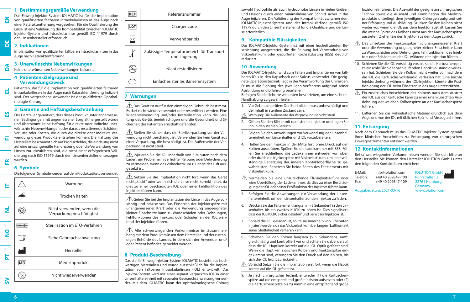## **1 Bestimmungsgemäße Verwendung** Das Einweg-Injektor-System IOLMATIC ist für die Implantation

von qualifizierten faltbaren Intraokularlinsen in das Auge nach einer Kataraktentfernung vorgesehen. Für die Qualifizierung der Linse ist eine Validierung der Kompatibilität zwischen IOLMATIC Injektor-System und Intraokularlinse gemäß ISO 11979 durch den Linsenhersteller erforderlich.

#### **2 Indikationen**  $\overline{\mathsf{d}}$

**EN**

**DA**

**EL**

**ES**

**FI**

**FR**

Implantation von qualifizierten faltbaren Intraokularlinsen in das Auge nach Kataraktentfernung.

## **3 Unerwünschte Nebenwirkungen**

Keine unerwünschten Nebenwirkungen bekannt.

#### **4 Patienten-Zielgruppe und Verwendungszweck**

Patienten, die für die Implantation von qualifizierten faltbaren Intraokularlinsen in das Auge nach Kataraktentfernung indiziert sind. Der vorgesehene Anwender ist der qualifizierte Ophthalmologie-Chirurg.

## **5 Garantie und Haftungsbeschränkung**

Der Hersteller garantiert, dass dieses Produkt unter angemessenen Bedingungen mit angemessener Sorgfalt hergestellt wurde und übernimmt keine Haftung für direkte oder indirekte unerwünschte Nebenwirkungen oder daraus resultierende Schäden, Verluste oder Kosten, die durch die direkte oder indirekte Verwendung dieses Produkts entstehen können. Die Haftung des Herstellers beschränkt sich auf Produktfehler, die eindeutig nicht auf eine unsachgemäße Handhabung oder die Verwendung von Linsen zurückzuführen sind, die nicht einer erfolgreichen Validierung nach ISO 11979 durch den Linsenhersteller unterzogen wurden.

## **6 Symbole**

Die folgenden Symbole werden auf dem Produktetikett verwendet.

|               |                   | Warnung                                                |
|---------------|-------------------|--------------------------------------------------------|
|               |                   | Trocken halten                                         |
| ź             |                   | Nicht verwenden, wenn die<br>Verpackung beschädigt ist |
| $\frac{1}{2}$ | <b>STERILE EO</b> | Sterilisation im ETO-Verfahren                         |
|               |                   | Siehe Gebrauchsanweisung                               |
| 눈             |                   | Hersteller                                             |
|               | MD                | Medizinprodukt                                         |
|               |                   | Nicht wiederverwenden                                  |
|               |                   |                                                        |

| REF  | Referenznummer                                             |
|------|------------------------------------------------------------|
| LO 1 | Chargencode                                                |
|      | Verwendbar bis                                             |
|      | Zulässiger Temperaturbereich für Transport<br>und Lagerung |
|      | Nicht resterilisieren                                      |
|      | Einfaches steriles Barrierensystem                         |

#### **7 Warnungen**

j

 Das Gerät ist nur für den einmaligen Gebrauch bestimmt. Es darf nicht wiederverwendet oder resterilisiert werden. Eine Wiederverwendung und/oder Resterilisation kann die Leistung des Geräts beeinträchtigen und die Gesundheit und Sicherheit des Patienten ernsthaft gefährden.

 $\overline{\triangle}$  Stellen Sie sicher, dass die Sterilverpackung vor der Verwendung nicht beschädigt ist. Verwenden Sie kein Gerät aus einer Verpackung, die beschädigt ist. Die Außenseite der Verpackung ist nicht steril.

 $\hat{\mathbb{A}}$  Injizieren Sie die IOL innerhalb von 3 Minuten nach dem Laden, um Probleme mit erhöhter Reibung oder Dehydrierung zu vermeiden, wenn das Viskoelastikum zu lange der Luft ausgesetzt ist.

 $\sqrt{\!\!\left\langle \right.} \!\!\left\langle \right. \right\rangle}$  Setzen Sie die Implantation nicht fort, wenn das Gerät nicht "klickt" oder wenn sich die Linse nicht korrekt faltet, da dies zu einer beschädigten IOL oder einer Fehlfunktion des Injektors führen kann.

 $\bigwedge$  Gehen Sie bei der Implantation der Linse in das Auge vorsichtig und präzise vor. Das Einsetzen der Injektorspitze mit unangemessener Kraft oder die Verwendung ungeeigneter kleiner Einschnitte kann zu Wundschäden oder Dehnungen, Fehlfunktionen des Injektors oder Schäden an der IOL während der Injektion führen.

 $\sqrt{!}$  Alle schwerwiegenden Vorkommnisse im Zusammenhang mit dem Produkt müssen dem Hersteller und der zuständigen Behörde des Landes, in dem sich der Anwender und/ oder Patient befindet, gemeldet werden.

## **8 Produkt-Beschreibung**

Das sterile Einweg-Injektor-System IOLMATIC besteht aus hochwertigen Materialien und wurde ausschließlich für die Implantation von faltbaren Intraokularlinsen (IOL) entwickelt. Das Injektor-System wird mit einer separat verpackten IOL in einer Linsenhaltereinheit mit separater Gebrauchsanweisung verwendet. Mit dem IOLMATIC kann der ophthalmologische Chirurg

sowohl hydrophile als auch hydrophobe Linsen in vielen Größen und Designs durch einen minimalinvasiven Schnitt sicher in das Auge injizieren. Die Validierung der Kompatibilität zwischen dem IOLMATIC-Injektor-System und der Intraokularlinse gemäß ISO 11979 durch den Linsenhersteller ist für die Qualifizierung der Linse erforderlich.

#### **9 Kompatible Flüssigkeiten**

Das IOLMATIC-Injektor-System ist mit einer hocheffizienten Beschichtung ausgestattet, die die Reibung bei Verwendung von Viskoelastikum oder gepufferter Kochsalzlösung (BSS) deutlich reduziert.

#### **10 Anwendung**

Der IOLMATIC-Injektor wird zum Falten und Implantieren von faltbaren IOLs in den Kapselsack oder Sulcus verwendet. Die geeignete Operationstechnik liegt in der Verantwortung des Chirurgen. Er muss die Eignung des jeweiligen Verfahrens aufgrund seiner Ausbildung und Erfahrung beurteilen.

Befolgen Sie die Schritte wie unten beschrieben, um eine sichere Handhabung zu gewährleisten.

- 1. Vor Gebrauch prüfen: Der Sterilblister muss unbeschädigt und der Inhalt in sterilem Zustand sein.
- $\wedge$ Warnung: Die Außenseite der Verpackung ist nicht steril.
- 2. Öffnen Sie den Blister mit dem sterilen Injektor und legen Sie ihn in den sterilen Bereich.
- 3. Folgen Sie den Anweisungen zur Verwendung der Linsenhaltereinheit, um Linsenhalter und IOL vorzubereiten.
- 4. Halten Sie den Injektor in der Mitte fest, ohne Druck auf den Kolben auszuüben. Spülen Sie die Ladekammer mit BSS. Füllen Sie anschließend die Ladekammer entweder von oben oder durch die Injekorspitze mit Viskoelastikum, um eine vollständige Benetzung der inneren Kontaktoberfläche zu gewährleisten. Benetzen Sie beide Seiten des Faltelements mit Viskoelastikum.

 Vermeiden Sie eine unzureichende Flüssigkeitszufuhr oder eine Überfüllung der Ladekammer, da dies zu einer Beschädigung der IOL oder einer Fehlfunktion des Injektors führen kann.

- 5. Befolgen Sie die Anweisungen zur Verwendung der Linsenhaltereinheit, um den Linsenhalter auf den Injektor zu laden.
- 6. Drücken Sie das Faltelement langsam (> 3 Sekunden) in den Linsenhalter, bis ein zweites ,KLICK' zu hören ist. Dies signalisiert, dass der IOLMATIC sicher, geladen' und bereit zur Injektion ist.
- 7. Sobald die IOL geladen ist, sollte sie innerhalb von 3 Minuten injiziert werden, da das Viskoelastikum bei langem Luftkontakt seine Gleitfähigkeit verlieren kann.
- 8. Schieben Sie den Kolben langsam (> 5 Sekunden), sanft, gleichmäßig und kontrolliert vor und achten Sie dabei darauf, dass die IOL-Haptiken korrekt auf die IOL-Optik gefaltet sind. Wenn die Haptiken zwischen Kolben und Injektorspitze eingeklemmt sind, verringern Sie den Druck auf den Kolben, bis sich die IOL leicht zurückzieht.
- Vorsicht! Setzen Sie die Implantation erst fort, wenn die Haptik korrekt auf die IOL gefaltet ist.
- 9. Je nach chirurgischer Technik entweder (1) die Kartuschenspitze auf die entsprechend große Inzision aufsetzen oder (2) die Kartuschenspitze bis zu 4mm in eine entsprechend große

Inzision einführen. Die Auswahl der geeigneten chirurgischen Technik sowie die Auswahl und Kombination der Medizinprodukte unterliegt dem jeweiligen Chirurgen aufgrund seiner Erfahrung und Ausbildung. Drücken Sie den Kolben nicht weiter vor, wenn die IOL aus dem Injektor austritt. Lassen Sie die weiche Spitze des Kolbens nicht aus der Kartuschenspitze austreten. Ziehen Sie den Injektor aus dem Auge zurück.

- Das Einsetzen der Injektorspitze mit unangemessener Kraft oder die Verwendung ungeeigneter kleiner Einschnitte kann zu Wundschäden oder Dehnungen, Fehlfunktionen des Injektors oder Schäden an der IOL während der Injektion führen.
- 10. Schieben Sie die IOL vorsichtig vor, bis sie die Kartuschenspitze einschließlich der nachlaufenden Haptik vollständig verlassen hat. Schieben Sie den Kolben nicht weiter vor, nachdem die IOL die Kartusche vollständig verlassen hat. Eine leichte Injektordrehung während der IOL-Injektion könnte die Positionierung der IOL beim Einsetzen in das Auge unterstützen.
- Ein zusätzliches Vorschieben des Kolbens nach dem Austritt der IOL aus der Kartusche kann zu einer unerwünschten Ausdehnung der weichen Kolbenspitze an der Kartuschenspitze führen.
- 11. Entfernen Sie das viskoelastische Material gründlich aus dem Auge und von der IOL mit üblichen Spül- und Absaugtechniken.

### **11 Entsorgung**

Nach dem Gebrauch muss das IOLMATIC-Injektor-System gemäß Ihren klinischen Vorschriften zur Entsorgung von chirurgischen Einweginstrumenten entsorgt werden.

## **12 Kontaktinformationen**

Bei schwerwiegenden Vorkommnissen wenden Sie sich bitte an den Hersteller. Sie können den Hersteller IOLUTION GmbH unter den folgenden Kontaktdaten erreichen:

| E-Mail:<br>Telefon: | info@iolution.com<br>+49 40 209347-100 | <b>IOLUTION GmbH</b><br><b>Ruhrstraße 13</b> |
|---------------------|----------------------------------------|----------------------------------------------|
| Fax:                | +49 40 209347-109                      | 22761 Hamburg,                               |
|                     | Ausgabedatum: 2021-03-16               | Germany<br>www.iolution.com                  |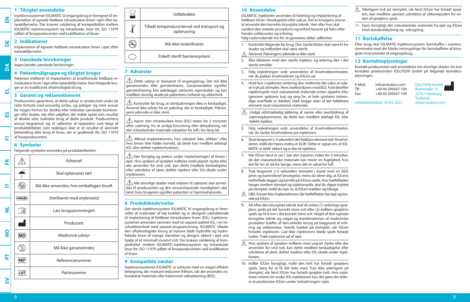#### **1 Tilsigtet anvendelse**

Injektionssystemet IOLMATIC til engangsbrug er beregnet til implantation af egnede foldbare intraokulære linser i øjet efter kataraktfjernelse. Der kræves validering af kompatibilitet mellem IOLMATIC-injektionssystem og intraokulær linse iht. ISO 11979 udført af linseproducenten ved kvalifikation af linser.

#### **2 Indikationer**

**EN**

**DE**

**DA**

**EL**

**ES**

**FI**

Implantation af egnede foldbare intraokulære linser i øjet efter kataraktfjernelse.

#### **3 Uønskede bivirkninger**

Ingen kendte uønskede bivirkninger.

#### **4 Patientmålgruppe og tilsigtet bruger**

Patienter indikeret til implantation af kvalificerede foldbare intraokulære linser i øjet efter kataraktfjernelse. Den tilsigtede bruger er en kvalificeret oftalmologisk kirurg.

#### **5 Garanti og reklamationsret**

Producenten garanterer, at dette udstyr er produceret under de rette forhold med ansvarlig omhu, og påtager sig intet ansvar for nogen former for direkte eller indirekte uønskede bivirkninger eller skader, tab eller udgifter, der måtte opstå som resultat af direkte eller indirekte brug af dette produkt. Producentens ansvar begrænser sig til udførelse af reparation som følge af produktdefekter, som tydeligvis ikke er et resultat af ukorrekt behandling eller brug af linser, der er godkendt iht. ISO 11979 af linseproducenten.

### **6 Symboler**

Følgende symboler anvendes på produktetiketten.





## **7 Advarsler**

 $\sqrt{!}$  Dette udstyr er beregnet til engangsbrug. Det må ikke genanvendes eller gensteriliseres. Genanvendelse og/eller gensterilisering kan ødelægge udstyrets egenskaber og kan medføre alvorlig skade på patientens helbred og sikkerhed.

 $\left\langle \cdot\right\rangle$ Kontrollér før brug, at sterilpakningen ikke er beskadiget. Anvend ikke udstyr fra en pakning, der er beskadiget. Pakningens yderside er ikke steril.

 $\bigtriangleup$  Injicer den intraokulære linse (IOL) inden for 3 minutter efter isætning, for at undgå forurening eller dehydrering, når det viskoelastiske materiale udsættes for luft i for lang tid.

 $\bigwedge$  Afbryd implantationen, hvis udstyret ikke "klikker" eller hvis linsen ikke foldes korrekt, da dette kan medføre ødelagt IOL eller defekt injektorfunktion.

 Vær forsigtig og præcis under implanteringen af linsen i øjet. Hvis spidsen af sprøjten indføres med uegnet styrke eller der anvendes for små snit, kan dette medføre beskadigelse eller udvidelse af såret, defekt injektor eller IOL-skade under injektionen.

 $\bigwedge$  Alle alvorlige skader med relation til udstvret skal anmeldes til producenten og den ansvarshavende myndighed i det land, hvor brugeren og/eller patienten er hjemmehørende.

### **8 Produktbeskrivelse**

Det sterile injektionssystem IOLMATIC til engangsbrug er fremstillet af materialer af høj kvalitet og er designet udelukkende til implantering af foldbare intraokulære linser (IOL). Injektionssystemet anvendes sammen med en separat pakket IOL i en linseholderenhed med separat brugsanvisning. IOLMATIC tillader den oftalmologiske kirurg at injicere både hydrofile og hydrofobiske linser af mange størrelser og designs sikkert i øjet ved hjælp af et minimalt invasivt snit. Der kræves validering af kompatibilitet mellem IOLMATIC-injektionssystem og intraokulær linse iht. ISO 11979 udført af linseproducenten ved kvalifikation af linser.

#### **9 Kompatible væsker**

Injektionssystemet IOLMATIC er udstyret med en meget effektiv belægning, der markant reducerer friktion, når der anvendes viskoelastisk materiale eller balanceret saltopløsning (BSS).

## **10 Anvendelse**

IOLMATIC-injektoren anvendes til foldning og implantering af foldbare IOL'er i linsekapslen eller sulcus. Det er kirurgens ansvar at anvende den korrekte kirurgiske teknik. Han eller hun skal vurdere den enkelte procedures egnethed baseret på hans eller hendes uddannelse og erfaring.

Følg nedenstående trin for at garantere sikker udførelse.

- 1. Kontrollér følgende før brug: Den sterile blister skal være fri for skader og indholdet skal være sterilt.
- Advarsel: Pakningens yderside er ikke steril.
- 2. Åbn blisteren med den sterile injektor, og anbring den i det sterile område.
- 3. Følg vejledningen vedr. anvendelse af linseholderenheden, når du pakker linseholderen og IOL'en ud.
- 4. Hold fast i injektoren omkring den midterste del uden at udøve tryk på stemplet. Rens injektordysen med BSS. Fyld derefter injektorspids med viskoelastisk materiale enten oppefra eller igennem spidsens tud, og sørg for, at hele spidsens indvendige overflade er dækket. Dæk begge sider af det foldebare element med viskoelastisk materiale.
- $\mathbb{A}$  Undgå utilstrækkelig påføring af væske eller overfyldning af isætningskammeret, da dette kan medføre ødelagt IOL eller defekt injektor.
- 5. Følg vejledningen vedr. anvendelse af linseholderenheden, når du sætter linseholderen på injektoren.
- 6. Skub langsomt (>3 sekunder) det foldbare element ind i linseholderen, indtil der høres endnu et 'KLIK'. Dette er signal om, at IOL-MATIC er, fyldt' sikkert og er klar til injektion.
- 7. Når IOL'en først er sat i, bør den injiceres inden for 3 minutter, da det viskoelastiske materiale kan miste sin fugtighed, hvis det får lov at stå for længe, mens det er udsat for luft.
- 8. Tryk langsomt (>5 sekunder) stemplet i bund med en blid, jævn og kontrolleret bevægelse, mens du sikrer dig, at IOL'ens hæfteflade lægger sig korrekt på IOL'ens optik. Hvis hæftefladen fanges imellem stempel og injektorspids, skal du slippe trykket på stemplet, indtil du kan se, at IOL'en trækker sig tilbage.
- $\wedge$  OBS: Forsæt ikke implantationen, før hæftefladen har lagt sig korrekt på IOL'en.
- 9. Alt efter den kirurgiske teknik skal du enten (1) anbringe sprøjtens spids på det korrekt store snit eller (2) indføre sprøjtens spids op til 4 mm i det korrekt store snit. Valget af den egnede kirurgiske teknik og valget og kombinationen af medicinske produkter træffes af den enkelte kirurg på baggrund af erfaring og uddannelse. Stands trykket på stemplet, når IOL'en forlader injektoren. Lad ikke injektorens bløde spids forlade tuden. Træk injektoren ud af øjet.
- $\triangle$  Hvis spidsen af sprøjten indføres med uegnet styrke eller der anvendes for små snit, kan dette medføre beskadigelse eller udvidelse af såret, defekt injektor eller IOL-skade under injektionen.
- 10. Indfør IOL'en forsigtigt, indtil den helt har forladt sprøjtens spids. Sørg for at få det hele med. Tryk ikke yderligere på stemplet, når først IOL'en har forladt sprøjten helt. Hvis injektoren roteres let under IOL-injektionen kan det gøre det lettere at positionere IOL'en under indsætningen i øjet.
- Yderligere tryk på stemplet, når først IOL'en har forladt sprøjten, kan medføre uønsket udvidelse af silikonepuden for enden af sprøjtens spids.
- 11. Fjern forsigtigt det viskoelastiske materiale fra øjet og IOL'en med standardskylning og -udsugning.

## **11 Bortskaffelse**

Efter brug skal IOLMATIC-injektionssystem bortskaffes i overensstemmelse med din kliniks retningslinjer for bortskaffelse af kirurgiske instrumenter til engangsbrug.

## **12 Kontaktoplysninger**

Kontakt producenten ved anmeldelse om alvorlige skader. Du kan kontakte producenten IOLUTION GmbH på følgende kontaktoplysninger:

| E-Mail:        | info@iolution.com           | <b>IOLUTION GmbH</b>                |
|----------------|-----------------------------|-------------------------------------|
| $T$ If $\cdot$ | +49 40 209347-100           | <b>Ruhrstraße 13</b>                |
| Fax:           | +49 40 209347-109           | 22761 Hamburg,                      |
|                | Udstedelsesdato: 16-03-2021 | <b>Tyskland</b><br>www.jolution.com |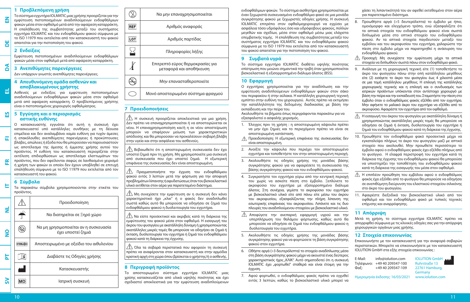

#### **4 Απευθυνόμενη ομάδα ασθενών και αποβλακωμένους χρήστης**

Ασθενείς με ενδείξεις για εμφύτευση πιστοποιημένων αναδιπλούμενων ενδοφθάλμιων φακών μέσα στον οφθαλμό μετά από αφαίρεση καταρράκτη. Ο προβλεπόμενος χρήστης είναι ο πιστοποιημένος χειρουργός οφθαλμίατρος.

#### **5 Εγγύηση και ο περιορισμός αστικής ευθύνης**

Ο κατασκευαστής εγγυάται ότι αυτή η συσκευή έχει κατασκευαστεί υπό κατάλληλες συνθήκες με τη δέουσα επιμέλεια και δεν αναλαμβάνει καμία ευθύνη για τυχόν άμεσες ή επακόλουθες ανεπιθύμητες παρενέργειες ή προκύπτουσες βλάβες, απώλειες ή έξοδα που θα μπορούσαν να παρουσιαστούν ως αποτέλεσμα της άμεσης ή έμμεσης χρήσης αυτού του προϊόντος. Η ευθύνη του κατασκευαστή περιορίζεται στην εκτέλεση επιδιορθώσεων ως αποτέλεσμα ελαττωμάτων του προϊόντος, που δεν οφείλονται σαφώς σε λανθασμένο χειρισμό ή χρήση των φακών οι οποίοι δεν έχουν υποβληθεί σε επιτυχή επαλήθευση σύμφωνα με το ISO 11979 που εκτελείται από τον κατασκευαστή του φακού.

## **6 Σύμβολα**

**EL**

**ES**

**FI**

**FR**

**IT**

Τα παρακάτω σύμβολα χρησιμοποιούνται στην ετικέτα του προϊόντος.

|          |                   | Προειδοποίηση                                               |
|----------|-------------------|-------------------------------------------------------------|
| ź        |                   | Να διατηρείται σε Ξηρό χώρο                                 |
| <u>၀</u> |                   | Να μη χρησιμοποιείται αν η συσκευασία<br>έχει υποστεί ζημιά |
|          | <b>STERILE EO</b> | Αποστειρωμένο με οξείδιο του αιθυλενίου                     |
| 눈        |                   | Διαβάστε τις Οδηγίες χρήσης                                 |
|          |                   | Κατασκευαστής                                               |
|          |                   | Ιατρική συσκευή                                             |



## **7 Προειδοποιήσεις**

j

 Η συσκευή προορίζεται αποκλειστικά για μια χρήση. Δεν πρέπει να επαναχρησιμοποιείται ή να αποστειρώνεται εκ νέου. Η επαναχρησιμοποίηση και/ή η εκ νέου αποστείρωση μπορούν να επιφέρουν μείωση των χαρακτηριστικών απόδοσης και θα μπορούσαν να προκαλέσουν σοβαρή βλάβη στην υγεία και στην ασφάλεια του ασθενούς.

 Βεβαιωθείτε ότι η αποστειρωμένη συσκευασία δεν έχει υποστεί ζημιά πριν τη χρήση. Μη χρησιμοποιείτε μια συσκευή από συσκευασία που έχει υποστεί ζημιά. Η εξωτερική επιφάνεια της συσκευασίας δεν είναι αποστειρωμένη.

 Πραγματοποιήστε την έγχυση του ενδοφθάλμιου φακού εντός 3 λεπτών μετά την φόρτωση για την αποφυγή προβλημάτων λίπανσης ή αφυδατώσεως όταν του βισκοελαστικό υλικό εκτίθεται στον αέρα για παρατεταμένο διάστημα.

 Μη συνεχίσετε την εμφύτευση αν η συσκευή δεν κάνει χαρακτηριστικό ήχο "κλικ" ή ο φακός δεν αναδιπλωθεί σωστά καθώς αυτό θα μπορούσε να οδηγήσει σε ζημιά του ενδοφθάλμιου φακού η δυσλειτουργία του εγχυτήρα.

 Να είστε προσεκτικοί και ακριβείς κατά τη διάρκεια της εμφύτευσης του φακού μέσα στον οφθαλμό. Η εισαγωγή του άκρου του φυσιγγίου με ακατάλληλη δύναμη ή χρησιμοποιώντας ακατάλληλες μικρές τομές θα μπορούσε να οδηγήσει σε ζημιά ή έκταση, δυσλειτουργία του εγχυτήρα ή ζημιά του ενδοφθάλμιου φακού κατά τη διάρκεια της έγχυσης.

 Όλα τα σοβαρά περιστατικά που αφορούν τη συσκευή πρέπει να αναφέρονται στον κατασκευαστή και στην αρμόδια κρατική αρχή στη χώρα όπου βρίσκεται ο χρήστης/ή ο ασθενής.

## **8 Περιγραφή προϊόντος**

Το αποστειρωμένο σύστημα εγχυτήρα IOLMATIC μιας χρίσης κατασκευάζεται από υλικά υψηλής ποιότητας και έχει σχεδιαστεί αποκλειστικά για την εμφύτευση αναδιπλούμενων ενδοφθάλμιων φακών. Το σύστημα αισθητήρα χρησιμοποιείται με έναν ξεχωριστά συσκευασμένο ενδοφθάλμιο φακό σε μια μονάδα συγκράτησης φακού με ξεχωριστές οδηγίες χρήσης. Η συσκευή IOLMATIC επιτρέπει στον οφθαλμοχειρουργό να εγχύσει με ασφάλεια τόσο υδρόφιλους όσο και υδρόφοβους φακούς, πολλών μεγεθών και σχεδίων, μέσα στον οφθαλμό μέσω μιας ελάχιστα επεμβατικής τομής. Η επαλήθευση της συμβατότητας μεταξύ του συστήματος εγχυτήρα IOLMATIC και του ενδοφθάλμιου φακού σύμφωνα με το ISO 11979 που εκτελείται από τον κατασκευαστή του φακού απαιτείται για την πιστοποίηση του φακού.

#### **9 Συμβατά υγρά**

Το σύστημα εγχυτήρα IOLMATIC διαθέτει υψηλής ποιότητας επίστρωση που μειώνει σημαντικά την τριβή όταν χρησιμοποιείται βισκοελαστικό ή εξισορροπημένο διάλυμα άλατος (BSS).

## **10 Εφαρμογή**

Ο εγχυτήρας χρησιμοποιείται για την αναδίπλωση και την εμφύτευση αναδιπλούμενων ενδοφθάλμιων φακών στον σάκο του περιφακίου ή στην αύλακα. Η κατάλληλη χειρουργική τεχνική εμπίπτει στην ευθύνη του χειρουργού. Αυτός πρέπει να εκτιμήσει την καταλληλότητα της δεδομένης διαδικασίας με βάση την εκπαίδευση και την πείρα του.

Ακολουθήστε τα βήματα όπως περιγράφονται παρακάτω για να εξασφαλιστεί ο ασφαλής χειρισμός.

- 1. Έλεγχος πριν τη χρήση : η αποστειρωμένη κάψουλα πρέπει να μην έχει ζημιές και το περιεχόμενο πρέπει να είναι σε αποστειρωμένη κατάσταση.
- Προειδοποίηση: Η εξωτερική επιφάνεια της συσκευασίας δεν είναι αποστειρωμένη.
- 2. Ανοίξτε την κάψουλα που περιέχει τον αποστειρωμένο εγχυτήρα και τοποθετήστε τον στην αποστειρωμένη περιοχή.
- 3. Ακολουθήστε τις οδηγίες χρήσης της μονάδας βάσης συγκράτησης φακού για να αφαιρέσετε τη συσκευασία της βάσης συγκράτησης φακού και του ενδοφθάλμιου φακού.
- 4. Συγκρατήστε τον εγχυτήρα γύρω από την κεντρική περιοχή του χωρίς να ασκείτε πίεση στο έμβολο. Ξεπλύνετε το ακροφύσιο του εγχυτήρα με εξισορροπημένο διάλυμα άλατος. Στη συνέχεια, γεμίστε το ακροφύσιο του εγχυτήρα με βισκοελαστικό υλικό είτε από πάνω είτε μέσω του άκρου του ακροφυσίου, εξασφαλίζοντας την πλήρη λίπανση της εσωτερικής επιφάνειας του ακροφυσίου. Λιπάνετε και τις δυο πλευρές του αναδιπλούμενου στοιχείου με βισκοελαστικό υλικό.
- Αποφύγετε την ανεπαρκή εφαρμογή υγρού και την υπερπλήρωση του θαλάμου φόρτωσης, καθώς αυτό θα μπορούσε να οδηγήσει σε ζημιά του ενδοφθάλμιου φακού η δυσλειτουργία του εγχυτήρα.
- 5. Ακολουθήστε τις οδηγίες χρήσης της μονάδας βάσης συγκράτησης φακού για να φορτώσετε τη βάση συγκράτησης φακού στον εγχυτήρα.
- 6. Ωθήστε αργά (>3 δευτερόλεπτα) το στοιχείο αναδίπλωσης μέσα στη βάση συγκράτησης φακού μέχρι να ακουστεί ένας δεύτερος χαρακτηριστικός ήχος "ΚΛΙΚ". Αυτό σηματοδοτεί ότι η συσκευή IOLMATIC έχει "φορτωθεί" σταθερά και είναι έτοιμη για την έγχυση.
- 7. Αφού φορτωθεί, ο ενδοφθάλμιος φακός πρέπει να εγχυθεί εντός 3 λεπτών, καθώς το βισκοελαστικό υλικό μπορεί να

χάσει τη λιπαντικότητά του αν αφεθεί εκτεθειμένο στον αέρα για παρατεταμένο διάστημα.

- 8. Προωθήστε αργά (>5 δευτερόλεπτα) το έμβολο με ήπιο, ομοιόμορφο και ελεγχόμενο τρόπο, ενώ εξασφαλίζετε ότι τα απτικά στοιχεία του ενδοφθάλμιου φακού είναι σωστά διπλωμένα μέσα στο οπτικό στοιχείο του ενδοφθάλμιου φακού. Αν τα απτικά στοιχεία παγιδευτούν μεταξύ του εμβόλου και του ακροφυσίου του εγχυτήρα, χαλαρώστε την πίεση στο έμβολο μέχρι να παρατηρηθεί η ανάσυρση του ενδοφθάλμιου φακού.
- Προσοχή: Μη συνεχίσετε την εμφύτευση μέχρι τα απτικά στοιχεία να διπλωθούν σωστά πάνω στον ενδοφθάλμιο φακό.
- 9. Ανάλογα με τη χειρουργική τεχνική είτε (1) τοποθετήστε το άκρο του φυσιγγίου πάνω στην οπή κατάλληλου μεγέθους είτε (2) εισάγετε το άκρο του φυσιγγίου έως 4 χιλιοστά μέσα σε μια τομή κατάλληλου μεγέθους. Η επιλογή της κατάλληλης χειρουργικής τεχνικής και η επιλογή και ο συνδυασμός των ιατρικών προϊόντων υπόκεινται στον αντίστοιχο χειρουργό με βάση την πείρα και την εκπαίδευσή του. Σταματήστε την πίεση στο έμβολο όταν ο ενδοφθάλμιος φακός εξέλθει από τον εγχυτήρα. Μην αφήνετε το μαλακό άκρο του εγχυτήρα να εξέλθει από το ακροφύσιο. Αφαιρέστε τον εγχυτήρα από τον οφθαλμό.
- Η εισαγωγή του άκρου του φυσιγγίου με ακατάλληλη δύναμη ή χρησιμοποιώντας ακατάλληλες μικρές τομές θα μπορούσε να οδηγήσει σε ζημιά ή έκταση, δυσλειτουργία του εγχυτήρα ή ζημιά του ενδοφθάλμιου φακού κατά τη διάρκεια της έγχυσης.
- 10. Προωθήστε τον ενδοφθάλμιο φακό προσεκτικά μέχρι να εγκαταλείψει πλήρως το άκρο του φυσιγγίου μαζί με απτικό στοιχείο που ακολουθεί. Μην προωθείτε περισσότερο το έμβολο αφού ο ενδοφθάλμιος φακός έχει εξέλθει πλήρως από το φυσίγγιο. Η ελαφρά περιστροφή του εγχυτήρα κατά τη διάρκεια της έγχυσης του ενδοφθάλμιου φακού θα μπορούσε να υποστηρίξει την τοποθέτηση του ενδοφθάλμιου φακού κατά τη διάρκεια της εισαγωγής του μέσα στον οφθαλμό.
- Η επιπλέον προώθηση του εμβόλου αφού ο ενδοφθάλμιος φακός έχει εξέλθει από το φυσίγγιο θα μπορούσε να οδηγήσει σε ανεπιθύμητη διεύρυνση του ελαστικού στοιχείου σιλικόνης στο άκρο του φυσιγγίου.
- 11. Αφαιρέστε διεξοδικά του βισκοελαστικό υλικό από τον οφθαλμό και τον ενδοφθάλμιο φακό με τυπικές τεχνικές επίχυσης και αναρρόφησης.

### **11 Απόρριψη**

Μετά τη χρήση, το σύστημα εγχυτήρα IOLMATIC πρέπει να απορριφθεί σύμφωνα με τις κλινικές οδηγίες σας για την απόρριψη χειρουργικών οργάνων μιας χρήσης.

### **12 Στοιχεία επικοινωνίας**

Επικοινωνήστε με τον κατασκευαστή για την αναφορά σοβαρών περιστατικών. Μπορείτε να επικοινωνήσετε με τον κατασκευαστή IOLUTION GmbH στα εξής στοιχεία επικοινωνίας :

E-Mail: info@iolution.com IOLUTION GmbH<br>Tn $\lambda \epsilon \omega \omega$  +49 40 209347-100 Ruhrstraße 13 Τηλέφωνο: +49 40 209347-100 Ruhrstraße 13 +49 40 209347-109

 Germany Ημερομηνία έκδοσης: 16/03/2021 www.iolution.com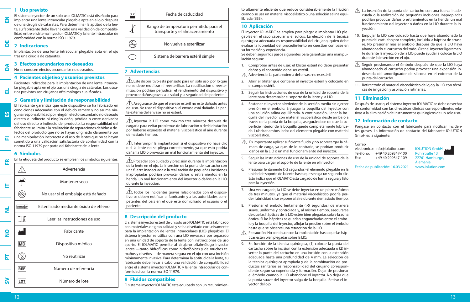#### **1 Uso previsto**

El sistema inyector de un solo uso IOLMATIC está diseñado para implantar una lente intraocular plegable apta en el ojo después de una cirugía de cataratas. Para determinar la aptitud de la lente, su fabricante debe llevar a cabo una validación de compatibilidad entre el sistema inyector IOLMATIC y la lente intraocular de conformidad con la norma ISO 11979.

#### **2 Indicaciones DE**

**EN**

**DA**

**EL**

**ES**

**FI**

Implantación de una lente intraocular plegable apta en el ojo tras una cirugía de cataratas.

#### **3 Efectos secundarios no deseados**

No se conocen efectos secundarios no deseados.

#### **4 Pacientes objetivo y usuarios previstos**

Pacientes indicados para la implantación de una lente intraocular plegable apta en el ojo tras una cirugía de cataratas. Los usuarios previstos son cirujanos oftalmólogos cualificados.

#### **5 Garantía y limitación de responsabilidad**

El fabricante garantiza que este dispositivo se ha fabricado en condiciones adecuadas con el debido esmero y no asume ninguna responsabilidad por ningún efecto secundario no deseado directo o indirecto ni ningún daño, pérdida o coste derivados del uso directo o indirecto del producto. La responsabilidad del fabricante se limita a la realización de reparaciones debidas a defectos del producto que no se hayan originado claramente por una manipulación incorrecta o el uso de lentes que no se hayan sometido a una validación satisfactoria de conformidad con la norma ISO 11979 por parte del fabricante de la lente.

#### **6 Símbolos**

| 뜐             | En la etiqueta del producto se emplean los símbolos siguientes: |                                        |  |
|---------------|-----------------------------------------------------------------|----------------------------------------|--|
|               |                                                                 | Advertencia                            |  |
| E             |                                                                 | Mantener seco                          |  |
|               |                                                                 | No usar si el embalaje está dañado     |  |
| ź             | <b>STERILE EO</b>                                               | Esterilizado mediante óxido de etileno |  |
|               | i                                                               | Leer las instrucciones de uso          |  |
| $\frac{8}{1}$ |                                                                 | Fabricante                             |  |
|               | <b>MD</b>                                                       | Dispositivo médico                     |  |
| 눕             |                                                                 | No reutilizar                          |  |
|               | <b>REF</b>                                                      | Número de referencia                   |  |
| នី            | LOT                                                             | Número de lote                         |  |



#### **7 Advertencias**

j

 $\sqrt{\phantom{a}}\hspace{bmatrix}$  Este dispositivo está pensado para un solo uso, por lo que no se debe reutilizar ni reesterilizar. La reutilización o reesterilización podrían perjudicar el rendimiento del dispositivo y provocar daños graves a la salud y la seguridad del paciente.

 $\sqrt{\! \Lambda \! \Lambda \,}$ Asegurarse de que el envase estéril no esté dañado antes del uso. No usar el dispositivo si el envase está dañado. La parte externa del envase no es estéril.

 $\sqrt{1}$  Invectar la LIO como máximo tres minutos después de cargarla para evitar problemas de lubricación o deshidratación por haberse expuesto el material viscoelástico al aire durante demasiado tiempo.

 $\hat{A}$  Interrumpir la implantación si el dispositivo no hace clic o si la lente no se pliega correctamente, ya que esto podría dañar la LIO o provocar un mal funcionamiento del inyector.

 $\sqrt{\Delta}$ Proceder con cuidado y precisión durante la implantación de la lente en el ojo. La inserción de la punta del cartucho con una fuerza inadecuada o la realización de pequeñas incisiones inapropiadas podrían provocar daños o estiramientos en la herida, un mal funcionamiento del inyector o daños en la LIO durante la inyección.

 $\sqrt{\phantom{a}}\!\!\!\!\phantom{a}$  Todos los incidentes graves relacionados con el dispositivo se deben notificar al fabricante y a las autoridades competentes del país en el que esté domiciliado el usuario o el paciente.

#### **8 Descripción del producto**

El sistema inyector estéril de un solo uso IOLMATIC está fabricado con materiales de gran calidad y se ha diseñado exclusivamente para la implantación de lentes intraoculares (LIO) plegables. El sistema inyector se utiliza con una LIO envasada por separado en una unidad de soporte de la lente con instrucciones de uso aparte. El IOLMATIC permite al cirujano oftalmólogo inyectar lentes —tanto hidrofílicas como hidrofóbicas y de muchos tamaños y diseños— de manera segura en el ojo con una incisión mínimamente invasiva. Para determinar la aptitud de la lente, su fabricante debe llevar a cabo una validación de compatibilidad entre el sistema inyector IOLMATIC y la lente intraocular de conformidad con la norma ISO 11979.

#### **9 Fluidos compatibles**

El sistema inyector IOLMATIC está equipado con un recubrimien-

to altamente eficiente que reduce considerablemente la fricción cuando se usa un material viscoelástico o una solución salina equilibrada (BSS).

#### **10 Aplicación**

El inyector IOLMATIC se emplea para plegar e implantar LIO plegables en el saco capsular o el sulcus. La elección de la técnica quirúrgica adecuada es responsabilidad del cirujano, quien debe evaluar la idoneidad del procedimiento en cuestión con base en su formación y experiencia.

Se deben seguir los pasos siguientes para garantizar una manipulación segura:

- 1. Comprobar antes de usar: el blíster estéril no debe presentar daños y el contenido debe ser estéril.
- Advertencia: La parte externa del envase no es estéril.
- 2. Abrir el blíster que contiene el inyector estéril y colocarlo en el campo estéril.
- 3. Seguir las instrucciones de uso de la unidad de soporte de la lente para desembalar el soporte de la lente y la LIO.
- 4. Sostener el inyector alrededor de la sección media sin ejercer presión en el émbolo. Enjuagar la boquilla del inyector con una solución salina equilibrada. A continuación, llenar la boquilla del inyector con material viscoelástico desde arriba o a través de la punta de la boquilla, asegurándose de que la superficie interior de la boquilla quede completamente lubricada. Lubricar ambos lados del elemento plegable con material viscoelástico.
- $\sqrt{N}$  Es importante aplicar suficiente fluido y no sobrecargar la cámara de carga, ya que, de lo contrario, se podrían producir daños en la LIO o un mal funcionamiento del inyector.
- 5. Seguir las instrucciones de uso de la unidad de soporte de la lente para cargar el soporte de la lente en el inyector.
- 6. Presionar lentamente (>3 segundos) el elemento plegable en la unidad de soporte de la lente hasta que se oiga un segundo clic. Esto indica que el IOLMATIC está cargado de forma segura y listo para la inyección.
- 7. Una vez cargada, la LIO se debe inyectar en un plazo máximo de tres minutos, ya que el material viscoelástico podría perder lubricidad si se expone al aire durante demasiado tiempo.
- 8. Presionar el émbolo lentamente (>5 segundos) de manera suave, uniforme y controlada y, al mismo tiempo, asegurarse de que las hápticas de la LIO estén bien plegadas sobre la zona óptica. Si las hápticas se quedan enganchadas entre el émbolo y la boquilla del inyector, aflojar la presión sobre el émbolo hasta que se observe una retracción de la LIO.
- $\wedge$  Precaución: No continuar con la implantación hasta que las hápticas estén bien plegadas sobre la LIO.

9. En función de la técnica quirúrgica, (1) colocar la punta del cartucho sobre la incisión con la extensión adecuada o (2) insertar la punta del cartucho en una incisión con la extensión adecuada hasta una profundidad de 4 mm. La selección de la técnica quirúrgica apropiada y de la combinación de productos sanitarios es responsabilidad del cirujano correspondiente según su experiencia y formación. Dejar de presionar el émbolo cuando la LIO abandone el inyector. No dejar que la punta suave del inyector salga de la boquilla. Retirar el inyector del ojo.

- $\triangle$  La inserción de la punta del cartucho con una fuerza inadecuada o la realización de pequeñas incisiones inapropiadas podrían provocar daños o estiramientos en la herida, un mal funcionamiento del inyector o daños en la LIO durante la inyección.
- 10. Empujar la LIO con cuidado hasta que haya abandonado la punta del cartucho por completo, incluida la háptica de arrastre. No presionar más el émbolo después de que la LIO haya abandonado el cartucho del todo. Girar el inyector ligeramente durante la inyección de la LIO puede ayudar a colocar la LIO durante la inserción en el ojo.
- $\triangle$  Seguir presionando el émbolo después de que la LIO haya abandonado el cartucho podría provocar una expansión indeseada del amortiguador de silicona en el extremo de la punta del cartucho.
- 11. Retirar todo el material viscoelástico del ojo y la LIO con técnicas de irrigación y aspiración rutinarias.

#### **11 Eliminación**

Después de usarlo, el sistema inyector IOLMATIC se debe desechar de conformidad con las directrices clínicas correspondientes relativas a la eliminación de instrumentos quirúrgicos de un solo uso.

#### **12 Información de contacto**

Póngase en contacto con el fabricante para notificar incidentes graves. La información de contacto del fabricante IOLUTION GmbH es la siguiente:

Correo electrónico: info@iolution.com IOLUTION GmbH<br>Teléfono: +49 40 209347-100 Ruhrstraße 13 +49 40 209347-100 Fax: +49 40 209347-109 22761 Hamburgo,



Fecha de publicación: 16.03.2021

Alemania<br>www.iolution.com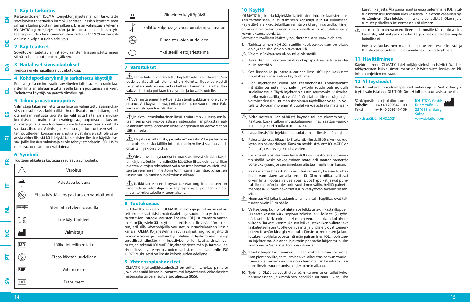## **1 Käyttötarkoitus**

Kertakäyttöinen IOLMATIC-injektorijärjestelmä on tarkoitettu soveltuvien taitettavien intraokulaaristen linssien istuttamiseen silmään kaihin poistamisen jälkeen. Linssin valmistajan tekemä IOLMATIC-injektorijärjestelmän ja intraokulaarisen linssin yhteensopivuuden tarkistaminen standardin ISO 11979 mukaisesti on linssin kelpoisuuden edellytys.

#### **2 Käyttöaiheet DE**

**EN**

**DA**

**EL**

**ES**

**FI**

**FR**

Soveltuvien taitettavien intraokulaaristen linssien istuttaminen silmään kaihin poistamisen jälkeen.

## **3 Haitalliset sivuvaikutukset**

Tiedossa ei ole haitallisia sivuvaikutuksia.

## **4 Kohdepotilasryhmä ja tarkoitettu käyttäjä**

Potilaat, joilla on indikaatio soveltuvien taitettavien intraokulaaristen linssien silmään istuttamiselle kaihin poistamisen jälkeen. Tarkoitettu käyttäjä on pätevä silmäkirurgi.

## **5 Takuu ja vastuunrajoitus**

Valmistaja takaa sen, että tämä laite on valmistettu asianmukaisissa olosuhteissa kohtuullista huolellisuutta noudattaen, eikä ota mitään vastuuta suorista tai välillisistä haitallisista sivuvaikutuksista tai mahdollisista vahingoista, tappioista tai kustannuksista, joita tämän tuotteen suorasta tai epäsuorasta käytöstä saattaa aiheutua. Valmistajan vastuu rajoittuu tuotteen sellaisten puutteiden korjaamiseen, jotka eivät ilmiselvästi ole seurausta virheellisestä käsittelystä tai sellaisten linssien käyttämisestä, joille linssien valmistaja ei ole tehnyt standardin ISO 11979 mukaista onnistunutta validointia.

## **6 Symbolit**

Tuotteen etiketissä käytetään seuraavia symboleita.

|               |                   | Varoitus                                    |
|---------------|-------------------|---------------------------------------------|
| ⊢             |                   | Pidettävä kuivana                           |
|               |                   | Ei saa käyttää, jos pakkaus on vaurioitunut |
| ź             | <b>STERILE EO</b> | Steriloitu etyleenioksidilla                |
|               | i                 | Lue käyttöohjeet                            |
| $\frac{8}{5}$ |                   | Valmistaja                                  |
|               | <b>MD</b>         | Lääketieteellinen laite                     |
| 눕             |                   | Ei saa käyttää uudelleen                    |
|               | <b>REF</b>        | Viitenumero                                 |
| ິລ            | LOT               | Eränumero                                   |

| Viimeinen käyttöpäivä                           |
|-------------------------------------------------|
| Sallittu kuljetus- ja varastointilämpötila-alue |
| Ei saa steriloida uudelleen                     |
| Yksi steriili estojärjestelmä                   |

## **7 Varoitukset**

j

 $\bigwedge$  Tämä laite on tarkoitettu käytettäväksi vain kerran. Sen uudelleenkäyttö tai -sterilointi on kielletty. Uudelleenkäyttö ja/tai -sterilointi voi vaarantaa laitteen toiminnan ja aiheuttaa vakavia haittoja potilaan terveydelle ja turvallisuudelle.

 $\bigwedge$  Varmista ennen käyttöä, että steriili pakkaus ei ole vaurioitunut. Älä käytä laitetta, jonka pakkaus on vaurioitunut. Pakkauksen ulkopuoli ei ole steriili.

 $\hat{\triangle}$  Iniektoi intraokulaarinen linssi 3 minuutin kuluessa sen lataamisen jälkeen viskoelastisen materiaalin liian pitkästä ilmalle altistumisesta johtuvien voiteluongelmien tai dehydraation välttämiseksi.

 $\bigwedge$ Älä jatka istuttamista, jos laite ei "naksahda" tai jos lenssi ei taitu oikein, koska tällöin intraokulaarinen linssi saattaa vaurioitua tai injektori vioittua.

 Ole varovainen ja tarkka istuttaessasi linssiä silmään. Kasetin kärjen työntäminen silmään käyttäen liikaa voimaa tai liian pienten viiltojen tekeminen voi aiheuttaa haavan vaurioitumisen tai venymisen, injektorin toimintavian tai intraokulaarisen linssin vaurioitumisen injektoinnin aikana.

 $\triangle$  Kaikki laitteeseen liittyvät vakavat ongelmatilanteet on ilmoitettava valmistajalle ja käyttäjän ja/tai potilaan sijaintimaan toimivaltaiselle viranomaiselle.

## **8 Tuotekuvaus**

Kertakäyttöinen steriili IOLMATIC-injektorijärjestelmä on valmistettu korkealaatuisista materiaaleista ja suunniteltu yksinomaan taitettavien intraokulaaristen linssien (IOL) istuttamista varten. Injektorijärjestelmää käytetään erilliseen linssisäiliöön pakatun, erillisillä käyttöohjeilla varustetun intraokulaarisen linssin kanssa. IOLMATIC-järjestelmän avulla silmäkirurgi voi injektoida monenkokoisia ja -mallisia hydrofiilisiä ja hydrofobisia linssejä turvallisesti silmään mini-invasiivisen viillon kautta. Linssin valmistajan tekemä IOLMATIC-injektorijärjestelmän ja intraokulaarisen linssin yhteensopivuuden tarkistaminen standardin ISO 11979 mukaisesti on linssin kelpoisuuden edellytys.

## **9 Yhteensopivat nesteet**

IOLMATIC-injektorijärjestelmässä on erittäin tehokas pinnoite, joka vähentää kitkaa huomattavasti käytettäessä viskoelastista materiaalia tai balansoitua suolaliuosta (BSS).

## **10 Käyttö**

IOLMATIC-injektoria käytetään taitettavien intraokulaaristen linssien taittamiseen ja istuttamiseen kapselipussiin tai sulkukseen. Käytettävän leikkaustekniikan valinta on kirurgin vastuulla. Hänen on arvioitava tietyn toimenpiteen soveltuvuus koulutuksensa ja kokemuksensa pohjalta.

Varmista turvallinen käsittely noudattamalla seuraavia ohjeita.

- 1. Tarkista ennen käyttöä: steriilin kuplapakkauksen on oltava ehjä ja sen sisällön on oltava steriiliä.
- Varoitus: Pakkauksen ulkopuoli ei ole steriili.
- 2. Avaa steriilin injektorin sisältävä kuplapakkaus ja laita se steriiliin kenttään.
- 3. Ota linssisäiliö ja intraokulaarinen linssi (IOL) pakkauksesta noudattaen linssisäiliön käyttöohjeita.
- 4. Pidä injektorista kiinni sen keskikohdasta kohdistamatta mäntään painetta. Huuhtele injektorin suutin balansoidulla suolaliuoksella. Täytä injektorin suutin seuraavaksi viskoelastisella materiaalilla joko ylhäältäpäin tai suuttimen kärjen läpi varmistaaksesi suuttimen sisäpinnan täydellisen voitelun. Voitele taitto-osan molemmat puolet viskoelastisella materiaalilla.
- $\sqrt{\!\!\int\!\!\!\int}$  Vältä nesteen liian vähäistä käyttöä tai latauskammion ylitäyttöä, koska tällöin intraokulaarinen linssi saattaa vaurioitua tai injektoriin tulla toimintavika.
- 5. Lataa linssisäiliö injektoriin noudattamalla linssisäiliön ohjeita.
- 6. Paina taitto-osaa hitaasti (> 3 sekuntia) linssisäiliöön, kunnes kuulet toisen naksahduksen. Tämä on merkki siitä, että IOLMATIC on "ladattu" ja valmis injektointia varten.
- 7. Ladattu intraokulaarinen linssi (IOL) on injektoitava 3 minuutin sisällä, koska viskoelastinen materiaali saattaa menettää voitelukykyään, jos sen annetaan altistua ilmalle liian kauan.
- 8. Paina mäntää hitaasti (> 5 sekuntia) varovasti, tasaisesti ja hallitusti varmistaen samalla sen, että IOL:n haptiikat taittuvat oikein linssin optisen alueen päälle. Jos haptiikat jäävät puristuksiin männän ja injektorin suuttimen väliin, hellitä painetta männässä, kunnes havaitset IOL:n vetäytyvän takaisin sisäänpäin.
- $\triangle$  Huomaa: Älä jatka istuttamista, ennen kuin haptiikat ovat taittuneet oikein IOL:n päälle.
- 9. Valitse jompikumpi toimintatapa leikkaustekniikasta riippuen: (1) aseta kasetin kärki sopivan kokoiselle viillolle tai (2) työnnä kasetin kärki enintään 4 mm:n verran sopivan kokoiseen viiltoon. Tarkoituksenmukaisen leikkaustekniikan valinta sekä lääketieteellisten tuotteiden valinta ja yhdistely ovat toimenpiteen tekevän kirurgin vastuulla tämän kokemuksen ja koulutuksen pohjalta Lopeta männän painaminen IOL:n poistuessa injektorista. Älä anna injektorin pehmeän kärjen tulla ulos suuttimesta. Vedä injektori pois silmästä.
- ⚠ Kasetin kärjen työntäminen silmään käyttäen liikaa voimaa tai liian pienten viiltojen tekeminen voi aiheuttaa haavan vaurioitumisen tai venymisen, injektorin toimintavian tai intraokulaarisen linssin vaurioitumisen injektoinnin aikana.
- 10. Työnnä IOL:ää varovasti eteenpäin, kunnes se on tullut kokonaisuudessaan, jälkimmäinen haptiikka mukaan lukien, ulos

kasetin kärjestä. Älä paina mäntää enää pidemmälle IOL:n tultua kokonaisuudessaan ulos kasetista. Injektorin vähäinen pyörittäminen IOL:n injektoinnin aikana voi edistää IOL:n sijoittumista paikalleen istutettaessa sitä silmään.

- $\triangle$  Jos mäntää painetaan edelleen pidemmälle IOL:n tultua ulos kasetista, silikonityyny kasetin kärjen päässä saattaa laajeta haitallisesti.
- 11. Poista viskoelastinen materiaali perusteellisesti silmästä ja IOL:stä vakiohuuhtelu- ja aspiraatiotekniikoita käyttäen.

## **11 Hävittäminen**

Käytön jälkeen IOLMATIC-injektorijärjestelmä on hävitettävä kertakäyttöisten leikkausinstrumenttien hävittämistä koskevien kliinisten ohjeiden mukaan.

## **12 Yhteystiedot**

Julkaisupäivä: 16.03.2021

Ilmoita vakavat ongelmatapaukset valmistajalle. Voit ottaa yhteyttä valmistajaan IOLUTION GmbH jollakin seuraavista tavoista:

Sähköposti: info@iolution.com IOLUTION GmbH<br>Puhelin: +49 40 209347-100 Ruhrstraße 13 +49 40 209347-100 Faksi: +49 40 209347-109 22761 Hamburg,

Saksa<br>www.iolution.com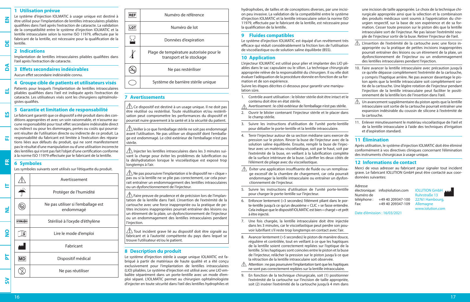# **ES FI FR**  $\Box$

**EN**

**DE**

**DA**

**EL**

**SV**

Avertissement Protéger de l'humidité endommagé Stérilisé à l'oxyde d'éthylène Lire le mode d'emploi Fabricant Dispositif médical Ne pas réutiliser **IT**  $\overline{\mathbf{z}}$ **NO PT**

#### **1 Utilisation prévue** Le système d'injection IOLMATIC à usage unique est destiné à être utilisé pour l'implantation de lentilles intraoculaires pliables qualifiées dans l'œil après l'extraction de cataracte. La validation de la compatibilité entre le système d'injection IOLMATIC et la lentille intraoculaire selon la norme ISO 11979, effectuée par le fabricant de la lentille, est nécessaire pour la qualification de la lentille. **2 Indications**

Implantation de lentilles intraoculaires pliables qualifiées dans l'œil après l'extraction de cataracte.

## **3 Effets secondaires indésirables**

Aucun effet secondaire indésirable connu.

#### **4 Groupe cible de patients et utilisateurs visés**

Patients pour lesquels l'implantation de lentilles intraoculaires pliables qualifiées dans l'œil est indiquée après l'extraction de cataracte. Les utilisateurs visés sont les chirurgiens ophtalmologistes qualifiés.

## **5 Garantie et limitation de responsabilité**

Le fabricant garantit que ce dispositif a été produit dans des conditions appropriées et avec un soin raisonnable, et n'assume aucune responsabilité pour tout effet secondaire indésirable direct ou indirect ou pour les dommages, pertes ou coûts qui pourraient résulter de l'utilisation directe ou indirecte de ce produit. La responsabilité du fabricant est limitée à l'exécution des réparations liées aux défauts du produit, qui ne sont manifestement pas le résultat d'une manipulation ou d'une utilisation incorrecte des lentilles qui n'ont pas fait l'objet d'une certification conforme à la norme ISO 11979 effectuée par le fabricant de la lentille.

#### **6 Symboles**

Les symboles suivants sont utilisés sur l'étiquette du produit.

|                   | Avertissement                                   |
|-------------------|-------------------------------------------------|
|                   | Protéger de l'humidité                          |
|                   | Ne pas utiliser si l'emballage est<br>endommagé |
| <b>STERILE EO</b> | Stérilisé à l'oxyde d'éthylène                  |
|                   | Lire le mode d'emploi                           |
|                   | Fabricant                                       |
| MD                | Dispositif médical                              |
|                   | Ne pas réutiliser                               |
|                   |                                                 |



#### **7 Avertissements**

j

 $\triangle$  Ce dispositif est destiné à un usage unique. Il ne doit pas être réutilisé ou restérilisé. Toute réutilisation et/ou restérilisation peut compromettre les performances du dispositif et pourrait nuire gravement à la santé et à la sécurité du patient.

 Veiller à ce que l'emballage stérile ne soit pas endommagé avant l'utilisation. Ne pas utiliser un dispositif dont l'emballage est endommagé. Le côté extérieur de l'emballage n'est pas stérile.

 $\triangle$  Injecter les lentilles intraoculaires dans les 3 minutes suivant la charge pour éviter les problèmes de lubrification ou la déshydratation lorsque le viscoélastique est exposé trop longtemps à l'air.

 $\bigwedge\hspace{-0.15cm}\bigwedge\hspace{-0.15cm}\mathbb{N}$  Ne pas poursuivre l'implantation si le dispositif ne « clique » pas ou si la lentille ne se plie pas correctement, car cela pourrait entraîner un endommagement des lentilles intraoculaires ou un dysfonctionnement de l'injecteur.

 $\langle \hat{P} \rangle$  Faire preuve de prudence et de précision lors de l'implantation de la lentille dans l'œil. L'insertion de l'extrémité de la cartouche avec une force inappropriée ou la pratique de petites incisions inappropriées pourrait entraîner des lésions ou un étirement de la plaie, un dysfonctionnement de l'injecteur ou un endommagement des lentilles intraoculaires pendant l'injection.

 $\bigwedge$  Tout incident grave lié au dispositif doit être signalé au fabricant et à l'autorité compétente du pays dans lequel se trouve l'utilisateur et/ou le patient.

## **8 Description du produit**

Le système d'injection stérile à usage unique IOLMATIC est fabriqué à partir de matériaux de haute qualité et a été conçu exclusivement pour l'implantation de lentilles intraoculaires (LIO) pliables. Le système d'injection est utilisé avec une LIO emballée séparément dans un porte-lentille avec un mode d'emploi séparé. L'IOLMATIC permet au chirurgien ophtalmologiste d'injecter en toute sécurité dans l'œil des lentilles hydrophiles et hydrophobes, de tailles et de conceptions diverses, par une incision peu invasive. La validation de la compatibilité entre le système d'injection IOLMATIC et la lentille intraoculaire selon la norme ISO 11979, effectuée par le fabricant de la lentille, est nécessaire pour la qualification de la lentille.

## **9 Fluides compatibles**

Le système d'injection IOLMATIC est équipé d'un revêtement très efficace qui réduit considérablement la friction lors de l'utilisation de viscoélastique ou de solution saline équilibrée (BSS).

## **10 Application**

L'injecteur IOLMATIC est utilisé pour plier et implanter des LIO pliables dans le sac capsulaire ou le sillon. La technique chirurgicale appropriée relève de la responsabilité du chirurgien. Il ou elle doit évaluer l'adéquation de la procédure donnée en fonction de sa formation et de son expérience.

Suivre les étapes décrites ci-dessous pour garantir une manipulation sûre.

- 1. Contrôle avant utilisation : le blister stérile doit être intact et le contenu doit être en état stérile.
- Avertissement : le côté extérieur de l'emballage n'est pas stérile.
- 2. Ouvrir le blister contenant l'injecteur stérile et le placer dans le champ stérile.
- 3. Suivre les instructions d'utilisation de l'unité porte-lentille pour déballer le porte-lentille et la lentille intraoculaire.
- 4. Tenir l'injecteur autour de sa section médiane sans exercer de pression sur le piston. Rincer la buse de l'injecteur avec de la solution saline équilibrée. Ensuite, remplir la buse de l'injecteur avec un matériau viscoélastique, soit par le haut, soit par l'extrémité de la buse, en veillant à la lubrification complète de la surface intérieure de la buse. Lubrifier les deux côtés de l'élément de pliage avec du viscoélastique.
- Éviter une application insuffisante de fluide ou un remplissa- $\mathbb{A}$ ge excessif de la chambre de chargement, car cela pourrait endommager la lentille intraoculaire ou entraîner un dysfonctionnement de l'injecteur.
- 5. Suivre les instructions d'utilisation de l'unité porte-lentille pour charger le porte-lentille sur l'injecteur.
- 6. Enfoncer lentement (>3 secondes) l'élément pliant dans le porte-lentille jusqu'à ce qu'un deuxième « CLIC » se fasse entendre. Cela indique que le dispositif IOLMATIC est bien « chargé » et prêt à être injecté.
- 7. Une fois chargée, la lentille intraoculaire doit être injectée dans les 3 minutes, car le viscoélastique peut perdre son pouvoir lubrifiant s'il reste trop longtemps en contact avec l'air.
- 8. Avancer lentement (>5 secondes) le piston de manière douce, régulière et contrôlée, tout en veillant à ce que les haptiques de la lentille soient correctement repliées sur l'optique de la lentille. Si les haptiques sont coincées entre le piston et la buse de l'injecteur, relâcher la pression sur le piston jusqu'à ce que la rétraction de la lentille intraoculaire soit observée.
- $\triangle$  Attention : ne pas poursuivre l'implantation tant que les haptiques ne sont pas correctement repliées sur la lentille intraoculaire.
- 9. En fonction de la technique chirurgicale, soit (1) positionner l'extrémité de la cartouche sur l'incision de taille appropriée, soit (2) insérer l'extrémité de la cartouche jusqu'à 4 mm dans

une incision de taille appropriée. Le choix de la technique chirurgicale appropriée ainsi que la sélection et la combinaison des produits médicaux sont soumis à l'appréciation du chirurgien respectif, sur la base de son expérience et de sa formation. Cesser toute pression sur le piston dès que la lentille intraoculaire sort de l'injecteur. Ne pas laisser l'extrémité souple de l'injecteur sortir de la buse. Retirer l'injecteur de l'œil.

- L'insertion de l'extrémité de la cartouche avec une force inappropriée ou la pratique de petites incisions inappropriées pourrait entraîner des lésions ou un étirement de la plaie, un dysfonctionnement de l'injecteur ou un endommagement des lentilles intraoculaires pendant l'injection.
- 10. Faire avancer la lentille intraoculaire avec précaution jusqu'à ce qu'elle dépasse complètement l'extrémité de la cartouche, y compris l'haptique arrière. Ne pas avancer davantage le piston après que la lentille intraoculaire soit complètement sortie de la cartouche. Une légère rotation de l'injecteur pendant l'injection de la lentille intraoculaire peut faciliter le positionnement de la lentille lors de l'insertion dans l'œil.
- $\triangle$  Un avancement supplémentaire du piston après que la lentille intraoculaire soit sortie de la cartouche pourrait entraîner une expansion indésirable du coussin de silicone à l'extrémité de la cartouche.
- 11. Enlever minutieusement le matériau viscoélastique de l'œil et de la lentille intraoculaire à l'aide des techniques d'irrigation et d'aspiration standard.

## **11 Élimination**

Après utilisation, le système d'injection IOLMATIC doit être éliminé conformément à vos directives cliniques concernant l'élimination des instruments chirurgicaux à usage unique.

### **12 Informations de contact**

Merci de vous adresser au fabricant pour signaler tout incident grave. Le fabricant IOLUTION GmbH peut être contacté aux coordonnées suivantes:

#### Adresse

électronique: info@iolution.com IOLUTION GmbH Numéro de Ruhrstraße 13<br>
téléphone : +49 40 209347-100 22761 Hambou teléphone 1209347-100 22761 Hambourg,<br>+49 40 209347-109 Allemagne Fax: +49 40 209347-109

www.iolution.com

Date d'émission : 16/03/2021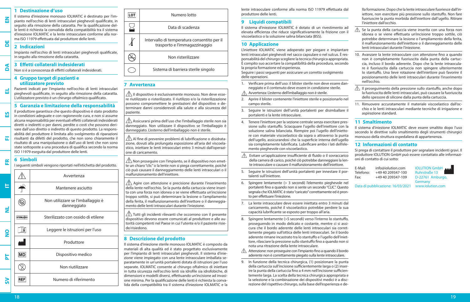## **1 Destinazione d'uso**

Il sistema d'iniezione monouso IOLMATIC è destinato per l'impianto nell'occhio di lenti intraoculari pieghevoli qualificate, in seguito alla rimozione della cataratta. Per la qualificazione delle lenti è richiesta la convalida della compatibilità tra il sistema d'iniezione IOLMATIC e la lente intraoculare conforme alla norma ISO 11979 effettuata dal produttore delle lenti.

#### **2 Indicazioni DE**

**EN**

**DA**

**EL**

**ES**

**FI**

Impianto nell'occhio di lenti intraoculari pieghevoli qualificate, in seguito alla rimozione della cataratta.

#### **3 Effetti collaterali indesiderati**

Non si è a conoscenza di effetti collaterali indesiderati.

#### **4 Gruppo target di pazienti e utilizzatore previsto**

Pazienti indicati per l'impianto nell'occhio di lenti intraoculari pieghevoli qualificate, in seguito alla rimozione della cataratta. L'utilizzatore previsto è un chirurgo oftalmico qualificato.

#### **5 Garanzia e limitazione della responsabilità**

Il produttore garantisce che questo dispositivo è stato prodotto in condizioni adeguate e con ragionevole cura, e non si assume alcuna responsabilità per eventuali effetti collaterali indesiderati diretti o indiretti o per danni, perdite o costi che possono derivare dall'uso diretto o indiretto di questo prodotto. La responsabilità del produttore è limitata allo svolgimento di riparazioni risultanti da difetti del prodotto, che non sono chiaramente il risultato di una manipolazione o dall'uso di lenti che non sono state sottoposte a una procedura di qualifica secondo la norma ISO 11979 eseguita dal produttore delle lenti.

#### **6 Simboli FR**

I seguenti simboli vengono riportati nell'etichetta del prodotto.





## **7 Avvertenza**

 $\hat{\triangle}$  Il dispositivo è esclusivamente monouso. Non deve essere riutilizzato o risterilizzato. Il riutilizzo e/o la risterilizzazione possono compromettere le prestazioni del dispositivo e determinare danni considerevoli alla salute e alla sicurezza del paziente.

 $\hat{\triangle}$  Assicurarsi prima dell'uso che l'imballaggio sterile non sia danneggiato. Non utilizzare il dispositivo se l'imballaggio è danneggiato. L'esterno dell'imballaggio non è sterile.

 $\bigwedge$  Al fine di prevenire problemi di lubrificazione o disidratazione, dovuti alla prolungata esposizione all'aria del viscoelastico, iniettare le lenti intraoculari entro 3 minuti dall'operazione di caricamento.

 $\sqrt{!}$  Non proseguire con l'impianto, se il dispositivo non emette un chiaro "clic" o la lente non si piega correttamente, poiché ciò può causare il danneggiamento delle lenti intraoculari o il malfunzionamento dell'iniettore.

 $\hat{\mathbb{A}}$  Agire con attenzione e precisione durante l'inserimento della lente nell'occhio. Se la punta della cartuccia viene inserita con una forza non idonea o se viene effettuata un'incisione troppo sottile, si può determinare la lesione o l'ampliamento della ferita, il malfunzionamento dell'iniettore o il danneggiamento delle lenti intraoculari durante l'iniezione.

 Tutti gli incidenti rilevanti che occorrono con il presente dispositivo devono essere comunicati al produttore e alle autorità competenti nel Paese in cui l'utente e/o il paziente risiede/risiedono.

### **8 Descrizione del prodotto**

Il sistema d'iniezione sterile monouso IOLMATIC è composto da materiali di alta qualità ed è stato progettato esclusivamente per l'impianto di lenti intraoculari pieghevoli. Il sistema d'iniezione viene impiegato con una lente intraoculare imballata separatamente in un'unità portalenti dotata di istruzioni per l'uso separate. IOLMATIC consente al chirurgo oftalmico di iniettare in tutta sicurezza nell'occhio lenti sia idrofile sia idrofobiche, di dimensioni e modelli diversi, effettuando un'incisione ad invasione minima. Per la qualificazione delle lenti è richiesta la convalida della compatibilità tra il sistema d'iniezione IOLMATIC e la

lente intraoculare conforme alla norma ISO 11979 effettuata dal produttore delle lenti.

## **9 Liquidi compatibili**

Il sistema d'iniezione IOLMATIC è dotato di un rivestimento ad elevata efficienza che riduce significativamente la frizione con il viscoelastico o la soluzione salina bilanciata (BSS).

## **10 Applicazione**

L'iniettore IOLMATIC viene adoperato per piegare e impiantare lenti intraoculari pieghevoli nel sacco capsulare o nel sulcus. È responsabilità del chirurgo scegliere la tecnica chirurgica appropriata. È compito suo accertare la compatibilità della procedura, secondo la propria formazione ed esperienza.

Seguire i passi seguenti per assicurare un corretto svolgimento delle operazioni.

- 1. Verificare prima dell'uso: il blister sterile non deve essere danneggiato e il contenuto deve essere in condizione sterile.
- Avvertenza: L'esterno dell'imballaggio non è sterile.
- 2. Aprire il blister contenente l'iniettore sterile e posizionarlo nel campo sterile.
- 3. Seguire le istruzioni dell'unità portalenti per disimballare il portalenti e la lente intraoculare.
- 4. Tenere l'iniettore per la sezione centrale senza esercitare pressione sullo stantuffo. Sciacquare l'ugello dell'iniettore con la soluzione salina bilanciata. Riempire poi l'ugello dell'iniettore con materiale viscoelastico da sopra o attraverso la punta dell'ugello, assicurandosi che la superficie interna dell'ugello sia completamente lubrificata. Lubrificare ambo i lati dell'elemento pieghevole con viscoelastico.
- ⚠ Evitare un'applicazione insufficiente di fluido o il sovraccarico della camera di carico, poiché ciò potrebbe danneggiare la lente intraoculare o causare il malfunzionamento dell'iniettore.
- 5. Seguire le istruzioni dell'unità portalenti per innestare il portalenti sull'iniettore.
- 6. Spingere lentamente (> 3 secondi) l'elemento pieghevole nel portalenti fino a quando non si sente un secondo "CLIC". Questo segnala che IOLMATIC è stato "caricato" correttamente ed è pronto per effettuare l'iniezione.
- 7. La lente intraoculare deve essere iniettata entro 3 minuti dal caricamento, poiché il viscoelastico potrebbe perdere la sua capacità lubrificante se esposto per troppo all'aria.
- 8. Spingere lentamente (>5 secondi) verso l'interno lo stantuffo, proseguendo in modo delicato e costante, mentre ci si assicura che il bordo aderente delle lenti intraoculari sia correttamente piegato sull'ottica delle lenti intraoculari. Se il bordo aderente rimane incastrato tra lo stantuffo e l'ugello dell'iniettore, rilasciare la pressione sullo stantuffo fino a quando non si nota una ritrazione della lente intraoculare.
- $\triangle$  Attenzione: non proseguire con l'impianto fino a quando il bordo aderente non è correttamente piegato sulla lente intraoculare.
- 9. In funzione della tecnica chirurgica, (1) posizionare la punta della cartuccia sull'incisione sufficientemente larga o (2) inserire la punta della cartuccia fino a 4 mm nell'incisione sufficientemente larga. La scelta della tecnica chirurgica appropriata e la selezione e la combinazione dei dispositivi medici è a discrezione del rispettivo chirurgo, sulla base dell'esperienza e de-

lla formazione. Dopo che la lente intraoculare fuoriesce dall'iniettore, non esercitare più pressione sullo stantuffo. Non fare fuoriuscire la punta morbida dell'iniettore dall'ugello. Ritirare l'iniettore dall'occhio.

- $\triangle$  Se la punta della cartuccia viene inserita con una forza non idonea o se viene effettuata un'incisione troppo sottile, ciò potrebbe determinare la lesione o l'ampliamento della ferita, il malfunzionamento dell'iniettore o il danneggiamento delle lenti intraoculari durante l'iniezione.
- 10. Avanzare la lente intraoculare con attenzione fino a quando non è completamente fuoriuscita dalla punta della cartuccia, incluso il bordo aderente. Dopo che la lente intraoculare è fuoriuscita dalla cartuccia non spingere ulteriormente lo stantuffo. Una lieve rotazione dell'iniettore può favorire il posizionamento delle lenti intraoculari durante l'inserimento nell'occhio.
- $\triangle$  Il proseguimento della pressione sullo stantuffo, anche dopo la fuoriuscita delle lenti intraoculari, può causare la fuoriuscita dello spessore di silicone dalla punta della cartuccia.
- 11. Rimuovere accuratamente il materiale viscoelastico dall'occhio e le lenti intraoculari mediante tecniche di irrigazione e aspirazione standard.

#### **11 Smaltimento**

Il sistema d'iniezione IOLMATIC deve essere smaltito dopo l'uso secondo le direttive sullo smaltimento degli strumenti chirurgici monouso della struttura ospedaliera di appartenenza.

### **12 Informazioni di contatto**

Si prega di contattare il produttore per segnalare incidenti gravi. Il produttore IOLUTION GmbH può essere contattato alle informazioni di contatto di cui sotto:

E-Mail: info@iolution.com IOLUTION GmbH<br>Telefono: +49 40 209347-100 Ruhrstraße 13 +49 40 209347-100 Fax: +49 40 209347-109 D-22761 Amburgo,

**Germany** 

Data di pubblicazione: 16/03/2021 www.iolution.com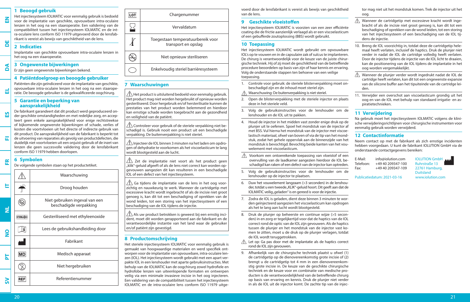## **EN**

**DA**

**EL**

**ES**

**FI**

lenzen in het oog na een staaroperatie. Een validering van de

compatibiliteit tussen het injectiesysteem IOLMATIC en de intra-oculaire lens conform ISO 11979 uitgevoerd door de lensfabrikant is vereist als bewijs van geschiktheid van de lens.

**2 Indicaties DE**

> Implantatie van geschikte opvouwbare intra-oculaire lenzen in het oog na een staaroperatie.

> voor de implantatie van geschikte, opvouwbare intra-oculaire

## **3 Ongewenste bijwerkingen**

Er zijn geen ongewenste bijwerkingen bekend.

### **4 Patiëntdoelgroep en beoogde gebruiker**

Patiënten die zijn geïndiceerd voor de implantatie van geschikte, opvouwbare intra-oculaire lenzen in het oog na een staaroperatie. De beoogde gebruiker is de gekwalificeerde oogchirurg.

#### **5 Garantie en beperking van aansprakelijkheid**

De fabrikant garandeert dat dit product werd geproduceerd onder geschikte omstandigheden en met redelijke zorg, en accepteert geen enkele aansprakelijkheid voor enige rechtstreekse of bijkomende ongewenste bijwerkingen of schade, verlies of kosten die voortvloeien uit het directe of indirecte gebruik van dit product. De aansprakelijkheid van de fabrikant is beperkt tot de uitvoering van reparaties als gevolg van productdefecten, die duidelijk niet voortvloeien uit een onjuist gebruik of de inzet van lenzen die geen succesvolle validering door de lensfabrikant conform ISO 11979 hebben doorlopen.

#### **6 Symbolen FR**

De volgende symbolen staan op het productetiket.

| Droog houden<br>Niet gebruiken ingeval van een<br>beschadigde verpakking<br>ž<br>Gesteriliseerd met ethyleenoxide<br><b>STERILE EO</b><br>Lees de gebruikshandleiding door<br>i<br>Fabrikant<br>Medisch apparaat<br>MD<br>Niet hergebruiken<br>Referentienummer<br><b>REF</b> |              | Waarschuwing |
|-------------------------------------------------------------------------------------------------------------------------------------------------------------------------------------------------------------------------------------------------------------------------------|--------------|--------------|
|                                                                                                                                                                                                                                                                               | ⊨            |              |
|                                                                                                                                                                                                                                                                               |              |              |
|                                                                                                                                                                                                                                                                               |              |              |
|                                                                                                                                                                                                                                                                               | $\mathbf{S}$ |              |
|                                                                                                                                                                                                                                                                               |              |              |
|                                                                                                                                                                                                                                                                               | 눕            |              |
|                                                                                                                                                                                                                                                                               |              |              |
|                                                                                                                                                                                                                                                                               |              |              |



## **7 Waarschuwingen**

j

 $\bigwedge$  Het product is uitsluitend bedoeld voor eenmalig gebruik. Het product mag niet worden hergebruikt of opnieuw worden gesteriliseerd. Door hergebruik en/of hersterilisatie kunnen de prestaties van het product worden belemmerd en hierdoor kan ernstige schade worden toegebracht aan de gezondheid en veiligheid van de patiënt.

 $\sqrt{!}$  Controleer voor gebruik of de steriele verpakking niet beschadigd is. Gebruik nooit een product uit een beschadigde verpakking. De buitenverpakking is niet steriel.

 $\hat{\triangle}$  Injecteer de IOL binnen 3 minuten na het laden om opdrogen of dehydratie te voorkomen als het viscoelasticum te lang wordt blootgesteld aan de lucht.

 $\sqrt{!}$  Zet de implantatie niet voort als het product geen "klik"-geluid afgeeft of als de lens niet correct kan worden opgevouwen aangezien dit kan resulteren in een beschadigde IOL of een defect van het injectiesysteem.

 $\triangle$  Ga tijdens de implantatie van de lens in het oog voorzichtig en nauwkeurig te werk. Wanneer de cartridgetip met excessieve kracht wordt ingebracht of als de incisie niet groot genoeg is, kan dit tot een beschadiging of oprekken van de wond leiden, tot een storing van het injectiesysteem of een beschadiging van de IOL tijdens de injectie.

 $\overline{\Delta}$  Als uw product betrokken is geweest bij een ernstig incident, moet dit worden gerapporteerd aan de fabrikant en de verantwoordelijke instantie van het land waar de gebruiker en/of patiënt zijn gevestigd.

## **8 Productomschrijving**

Het steriele injectiesysteem IOLMATIC voor eenmalig gebruik is gemaakt van hoogwaardige materialen en werd specifiek ontworpen voor de implantatie van opvouwbare, intra-oculaire lenzen (IOL). Het injectiesysteem wordt gebruikt met een apart verpakte IOL in een lenshouder met aparte gebruiksinstructies. Met behulp van de IOLMATIC kan de oogchirurg zowel hydrofiele en hydrofobe lenzen van uiteenlopende formaten en ontwerpen veilig via een minimale invasieve incisie in het oog injecteren. Een validering van de compatibiliteit tussen het injectiesysteem IOLMATIC en de intra-oculaire lens conform ISO 11979 uitgevoerd door de lensfabrikant is vereist als bewijs van geschiktheid van de lens.

## **9 Geschikte vloeistoffen**

Het injectiesysteem IOLMATIC is voorzien van een zeer efficiënte coating die de frictie aanzienlijk verlaagd als er een viscoelasticum of een gebufferde zoutoplossing (BBS) wordt gebruikt.

### **10 Toepassing**

Het injectiesysteem IOLMATIC wordt gebruikt om opvouwbare IOL's op te vouwen en in de capsulaire zak of sulcus te implanteren. De chirurg is verantwoordelijk voor de keuze van de juiste chirurgische techniek. Hij of zij moet de geschiktheid van de betreffende procedure beoordelen op basis van zijn of haar kennis en ervaring. Volg de onderstaande stappen ten behoeve van een veilige toepassing.

- 1. Controle voor gebruik: de steriele blisterverpakking moet onbeschadigd zijn en de inhoud moet steriel zijn.
- Waarschuwing: De buitenverpakking is niet steriel.
- 2. Open de blisterverpakking met de steriele injector en plaats deze in het steriele veld.
- 3. Volg de gebruiksinstructies voor de lenshouder om de lenshouder en de IOL uit te pakken.
- 4. Houd de injector in het midden vast zonder enige druk op de plunjer uit te oefenen. Spoel het mondstuk van de injector af met BSS. Vul hierna het mondstuk van de injector met viscoelastisch materiaal, ofwel van boven of via de tip van het mondstuk, zodat het gehele oppervlak aan de binnenzijde van het mondstuk is bevochtigd. Bevochtig beide kanten van het vouwelement met viscoelasticum.
- $\mathbb{A}$  Voorkom een ontoereikende toepassing van vloeistof of een overvulling van de laadkamer aangezien hierdoor de IOL beschadigd kan raken of een defect van de injector kan optreden.
- 5. Volg de gebruiksinstructies voor de lenshouder om de lenshouder op de injector te plaatsen.
- 6. Duw het vouwelement langzaam (>3 seconden) in de lenshouder, totdat u een tweede "KLIK"-geluid hoort. Dit geeft aan dat de IOLMATIC veilig "geladen" is en gereed is voor de injectie.
- 7. Zodra de IOL is geladen, dient deze binnen 3 minuten te worden geïnjecteerd aangezien het viscoelasticum kan opdrogen als het te lang aan lucht wordt blootgesteld.
- 8. Druk de plunjer op beheerste en continue wijze (>5 seconden) in en zorg er tegelijkertijd voor dat de haptics van de IOL correct rond de optic van de IOL zijn gevouwen. Als de haptics tussen de plunjer en het mondstuk van de injector vast komen te zitten, moet u de druk op de plunjer verlagen, totdat de IOL wordt teruggetrokken.
- $\triangle$  Let op: Ga pas door met de implantatie als de haptics correct rond de IOL zijn gevouwen.
- 9. Afhankelijk van de chirurgische techniek plaatst u ofwel (1) de cartridgetip op de dienovereenkomstig grote incisie of (2) brengt u de cartridgetip tot 4 mm in een dienovereenkomstig grote incisie in. De keuze van de geschikte chirurgische techniek en de keuze voor en combinatie van medische producten is de verantwoordelijkheid van de betreffende chirurg op basis van ervaring en kennis. Druk de plunjer niet verder in als de IOL uit de injector komt. De zachte tip van de injec-

tor mag niet uit het mondstuk komen. Trek de injector uit het oog.

- $\triangle$  Wanneer de cartridgetip met excessieve kracht wordt ingebracht of als de incisie niet groot genoeg is, kan dit tot een beschadiging of oprekken van de wond leiden, tot een storing van het injectiesysteem of een beschadiging van de IOL tijdens de injectie.
- 10. Breng de IOL voorzichtig in, totdat deze de cartridgetip helemaal heeft verlaten, inclusief de haptics. Druk de plunjer niet verder in nadat de IOL de cartridge volledig heeft verlaten. Door de injector tijdens de injectie van de IOL licht te draaien, kan de positionering van de IOL tijdens de implantatie in het oog worden vergemakkelijkt.
- $\wedge$  Wanneer de plunjer verder wordt ingedrukt nadat de IOL de cartridge heeft verlaten, kan dit tot een ongewenste expansie van de silicone buffer aan het tipuiteinde van de cartridge leiden.
- 11. Verwijder een overschot aan viscoelasticum grondig uit het oog en van de IOL met behulp van standaard irrigatie- en aspiratietechnieken.

## **11 Verwijdering**

Na gebruik moet het injectiesysteem IOLMATIC volgens de klinische verwijderingsrichtlijnen voor chirurgische instrumenten voor eenmalig gebruik worden verwijderd.

## **12 Contactinformatie**

Neem contact op met de fabrikant als zich ernstige incidenten hebben voorgedaan. U kunt de fabrikant IOLUTION GmbH via de onderstaande contactgegevens bereiken:

E-Mail: info@iolution.com IOLUTION GmbH<br>Telefoon: +49 40 209347-100 Ruhrstraße 13 +49 40 209347-100 Ruhrstraße 13<br>+49 40 209347-109 22761 Hamburg, Fax: +49 40 209347-109

Duitsland

Publicatiedatum: 2021-03-16 www.iolution.com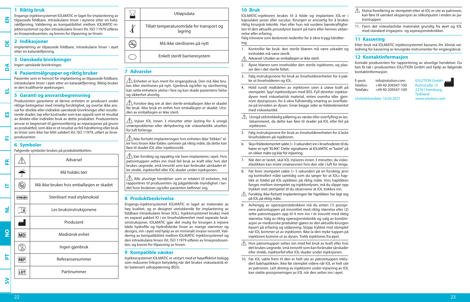### **1 Riktig bruk**

**EN**

**DE**

**DA**

**EL**

**ES**

**FI**

Engangs-injektorsystemet IOLMATIC er laget for implantering av tilpassede foldbare, intraokulære linser i øynene etter en kataraktfjerning. Validering av kompatibilitet mellom IOLMATIC-injektorsystemet og den intraokulære linsen iht. ISO 11979 utføres av linseprodusenten, og kreves for tilpasning av linsen.

#### **2 Indikasjoner**

Implantering av tilpassede foldbare, intraokulære linser i øyet etter en kataraktfierning.

#### **3 Uønskede bivirkninger**

Ingen uønskede bivirkninger.

#### **4 Pasientmålgrupper og riktig bruker**

Pasienter som er henvist for implantering av tilpassede foldbare, intraokulære linser i øyet etter en kataraktfjerning. Riktig bruker er den kvalifiserte øyekirurgen.

#### **5 Garanti og ansvarsbegrensning**

Produsenten garanterer at denne enheten er produsert under riktige betingelser med rimelig forsiktighet, og overtar ikke ansvar for direkte eller indirekte uønskede bivirkninger eller resulterende skader, tap eller kostnader som kan oppstå som et resultat av direkte eller indirekte bruk av dette produktet. Produsentens ansvar er begrenset til gjennomføring av reparasjoner på grunn av produktfeil, som ikke er et resultat av feil håndtering eller bruk av linser som ikke har blitt validert iht. ISO 11979, utført av linseprodusenten.

### **6 Symboler**

Følgende symboler brukes på produktetiketten.



| Utløpsdata                                           |
|------------------------------------------------------|
| Tillatt temperaturområde for transport og<br>lagring |
| Må ikke steriliseres på nytt                         |
| Enkelt sterilt barrieresystem                        |

#### **7 Advarsler**

j

 $\sqrt{\!\!\leftarrow}$  Enheten er kun ment for engangsbruk. Den må ikke brukes eller steriliseres på nytt. Gjenbruk og/eller ny sterilisering kan sette enhetens ytelse i fare og kan skade pasientens helse og sikkerhet alvorlig.

 $\bigwedge$  Forsikre deg om at den sterile emballasien ikke er skadet før bruk. Ikke bruk en enhet hvis emballasjen er skadet. Utsiden av emballasjen er ikke steril.

 $\sqrt{1}$  Injiser IOL innen 3 minutter etter lasting for å unngå smøreproblemer eller dehydrering når viskoelastikk utsettes for luft forlenge.

 $\bigwedge$  Ikke fortsett implanteringen hvis enheten ikke "klikker" eller hvis linsen ikke foldes sammen på riktig måte, da dette kan føre til skadet IOL eller injektorsvikt.

 Vær forsiktig og nøyaktig når lisen implanteres i øyet. Hvis patrontuppen settes inn med feil bruk av kraft eller hvis det brukes uegnede, små innsnitt som kan forårsake sårskader eller strekk, injektorfeil eller IOL-skader under injeksjonen.

 $\triangle$  Alle alvorlige hendelser som er relatert til enheten, må rapporteres til produsenten og pågjeldende myndighet i landet hvor brukeren og/eller pasienten befinner seg.

### **8 Produktbeskrivelse**

Engangs-injektorsystemet IOLMATIC er laget av materialer av høy kvalitet, og er designet utelukkende for implantering av foldbare intraokulære linser (IOL). Injektorsystemet brukes med en separat pakket IO i en linseholderenhet med separate bruksinstruksjoner. IOLMATIC gjør det mulig for kirurgen å injisere både hydrofile og hydrofobiske linser av mange størrelser og designs, inn i øyet ved hjelp av en minimalt invasiv innsnitt. Validering av kompatibilitet mellom IOLMATIC-injektorsystemet og den intraokulære linsen iht. ISO 11979 utføres av linseprodusenten, og kreves for tilpasning av linsen.

#### **9 Kompatible væsker**

Injektorsystemet IOLMATIC er utstyrt med et høyeffektivt belegg som reduserer friksjon betydelig når det brukes viskoelastisk eller balansert saltoppløsning (BSS).

#### **10 Bruk**

IOLMATIC-injektoren brukes til å folde og implantere IOL-er i kapsulære poser eller suculus. Kirurgen er ansvarlig for å brukes riktig kirurgisk teknikk. Han eller hun må vurdere bærekraftigheten til den aktuelle prosedyren basert på hans eller hennes utdannelse eller erfaring.

Følg trinnene som beskrevet nedenfor for å sikre trygg håndtering.

- 1. Kontroller før bruk: den sterile blæren må være uskadet og innholdet må være sterilt.
- Advarsel: Utsiden av emballasjen er ikke steril.
- 2. Åpne blæren som inneholder den sterile injektoren, og plasser den i det sterile feltet.
- 3. Følg instruksjonene for bruk av linseholderenheten for å pakke ut linseholderen og IOL.
- 4. Hold rundt midtdelen av injektoren uten å utøve kraft på stempelet. Spyl injektordysen med BSS. Fyll deretter injektordysen med viskoelastisk material, enten ovenfra eller gjennom dysespissen, for å sikre fullstendig smøring av overflatene på innsiden av dysen. Smør begge sider av foldeelementet med viskoelastikk.
- $\sqrt{N}$  Unngå utilstrekkelig påføring av væske eller overfylling av lastekammeret, da dette kan føre til skader på IOL eller feil på injektoren.
- 5. Følg instruksjonene for bruk av linseholderenheten for å laste linseholderen på injektoren.
- 6. Skyv foldeelementet sakte (> 3 sekunder) inn i linsehoderen til du hører et nytt "KLIKK". Dette signaliserer at IOLMATIC er "lastet" på en sikker måte og klar for injisering.
- 7. Når den er lastet, skal IOL injiseres innen 3 minutter, da viskoelastikken kan miste smøreevnen hvis den står i luft for lenge.
- 8. Før frem stempelet sakte (> 5 sekunder) på en forsiktig, jevn og kontrollert måte samtidig som du sørger for at IOLs haptikk er foldet på IOL-optikken på riktig måte. Hvis haptikken fanges mellom stempelet og injektordysen, må du slippe opp trykket mot stempelet til du observerer at IOL trekkes inn.
- $\triangle$  Forsiktig: Ikke fortsett implanteringen før haptikken har lagt seg på IOL på riktig måte.
- 9. Avhengig av operasjonsteknikken må du enten (1) posisjonere patrontuppen på innsnittet med riktig størrelse eller (2) sette patrontuppen opp til 4 mm inn i et innsnitt med riktig størrelse. Valg av riktig operasjonsteknikk og valg av kombinasjon av medisinske produkter gjøres av den aktuelle kirurgen basert på erfaring og utdanning. Stopp trykket mot stemplet når IOL kommer ut av injektoren. Ikke la den myke tuppen på injektoren komme ut av dysen. Trekk injektoren fra øyet.
- $\triangle$  Hvis patrontuppen settes inn med feil bruk av kraft eller hvis det brukes uegnede, små innsnitt som kan forårsake sårskader eller strekk, injektorfeil eller IOL-skader under injeksjonen.
- 10. Før IOL sakte frem til den er helt ute av patrontuppen inkludert bakhaptikken. Ikke før stemplet videre når IOL er helt ute av patronen. Lett dreiing av injektoren under injisering av IOL kan støtte posisjoneringen av IOL når den settes inn i øyet.
- $\triangle$  Ekstra fremføring av stempelet etter at IOL er ute av patronen, kan føre til uønsket ekspansjon av silikonputen i enden av patrontuppen.
- 11. Fjern det viskoelastiske materialet grundig fra øyet og IOL med standard irrigasjons- og aspirasjonsteknikker.

## **11 Kassering**

Etter bruk må IOLMATIC-injektorsystemet kasseres iht. klinisk veiledning for kassering av kirurgiske instrumenter for engangsbruk.

#### **12 Kontaktinformasjon**

Kontakt produsenten for rapportering av alvorlige hendelser. Du kan få tak i produsenten IOLUTION GmbH ved hjelp av følgende kontaktinformasjon:

| E-post:   | info@iolution.com | <b>IOLUTION GmbH</b> |
|-----------|-------------------|----------------------|
| Telefon:  | +49 40 209347-100 | <b>Ruhrstraße 13</b> |
| Telefaks: | +49 40 209347-109 | 22761 Hamburg,       |
|           |                   | <b>Tyskland</b>      |

Utstedelsesdato: 16.03.2021 www.iolution.com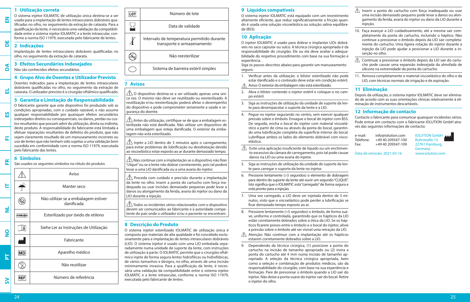#### **1 Utilização correta**

O sistema injetor IOLMATIC de utilização única destina-se a ser usado para a implantação de lentes intraoculares dobráveis qualificadas no olho, no seguimento da extração de catarata. Para a qualificação da lente, é necessária uma validação da compatibilidade entre o sistema injetor IOLMATIC e a lente intraocular, conforme a norma ISO 11979, executada pelo fabricante de lentes.

#### **2 Indicações DE**

**EN**

**DA**

**EL**

**ES**

**FI**

**FR**

Implantação de lentes intraoculares dobráveis qualificadas no olho, no seguimento da extração de catarata.

## **3 Efeitos Secundários Indesejados**

Não são conhecidos efeitos secundários.

#### **4 Grupo Alvo de Doentes e Utilizador Previsto**

Doentes indicados para a implantação de lentes intraoculares dobráveis qualificadas no olho, no seguimento da extração de catarata. O utilizador previsto é o cirurgião oftálmico qualificado.

## **5 Garantia e Limitação de Responsabilidade**

O fabricante garante que este dispositivo foi produzido sob as condições apropriadas, com o cuidado razoável, e não assume qualquer responsabilidade por quaisquer efeitos secundários indesejados diretos ou consequenciais, ou danos, perdas ou custos resultantes que possam advir da utilização, direta ou indireta, deste produto. A responsabilidade do fabricante está limitada a efetuar reparações resultantes de defeitos do produto, que não sejam claramente resultado de um manuseamento incorreto ou uso de lentes que não tenham sido sujeitas a uma validação bem sucedida em conformidade com a norma ISO 11979, executada pelo fabricante das lentes.

#### **6 Símbolos**

São usados os seguintes símbolos no rótulo do produto.

|                   | Aviso                                             |  |
|-------------------|---------------------------------------------------|--|
|                   | Manter seco                                       |  |
|                   | Não utilizar se a embalagem estiver<br>danificada |  |
| <b>STERILE EO</b> | Esterilizado por óxido de etileno                 |  |
|                   | Siehe Ler as Instruções de Utilização             |  |
|                   | Fabricante                                        |  |
| MD                | Aparelho médico                                   |  |
|                   | Não reutilizar                                    |  |
| <b>REF</b>        | Número de referência                              |  |
|                   |                                                   |  |

| LO1 | Número de lote                                                           |  |
|-----|--------------------------------------------------------------------------|--|
|     | Data de validade                                                         |  |
|     | Intervalo de temperatura permitido durante<br>transporte e armazenamento |  |
|     | Não reesterilizar                                                        |  |
|     | Sistema de barreira estéril simples                                      |  |

## **7 Avisos**

j

 $\bigwedge$  O dispositivo destina-se a ser utilizado apenas uma única vez. O mesmo não deve ser reutilizado ou reesterilizado. A reutilização e/ou reesterilização poderá afetar o desempenho do dispositivo e pode comprometer seriamente a saúde e segurança do doente.

 $\bigwedge$  Antes da utilização, certifique-se de que a embalagem esterilizada não está danificada. Não utilizar um dispositivo de uma embalagem que esteja danificada. O exterior da embalagem não está esterilizado.

 $\hat{\mathcal{N}}$  Injete a LIO dentro de 3 minutos após o carregamento, para evitar problemas de lubrificação ou desidratação devido ao viscoelástico estar exposto ao ar durante demasiado tempo.

 $\bigtriangleup$  Não continue com a implantação se o dispositivo não fizer "clique" ou se a lente não dobrar corretamente, pois tal poderá levar a uma LIO danificada ou a uma avaria do injetor.

 $\sqrt{\phantom{a}}\hspace{0.1cm}$  Proceda com cuidado e precisão durante a implantação da lente no olho. Inserir a ponta do cartucho com força inadequada ou usar incisões demasiado pequenas pode levar a danos ou alongamento da ferida, avaria do injetor ou dano da LIO durante a injeção.

 $\sqrt{\Delta}$ Todos os incidentes sérios relacionados com o dispositivo devem ser comunicados ao fabricante e à autoridade competente do país onde o utilizador e/ou o paciente se encontram.

### **8 Descrição do Produto**

O sistema injetor esterilizado IOLMATIC de utilização única é composto por materiais de alta qualidade e foi concebido exclusivamente para a implantação de lentes intraoculares dobráveis (LIO). O sistema injetor é usado com uma LIO embalada separadamente numa unidade de suporte da lente, com instruções de utilização à parte. O IOLMATIC permite que o cirurgião oftálmico injete de forma segura lentes hidrofílicas ou hidrofóbicas, de vários tamanhos e designs, no olho, através de uma incisão minimamente invasiva. Para a qualificação da lente, é necessária uma validação da compatibilidade entre o sistema injetor IOLMATIC e a lente intraocular, conforme a norma ISO 11979, executada pelo fabricante de lentes.

## **9 Líquidos compatíveis**

O sistema injetor IOLMATIC está equipado com um revestimento altamente eficiente, que reduz significativamente a fricção quando é usada uma solução viscoelástica ou solução salina equilibrada (BSS).

## **10 Aplicação**

O injetor IOLMATIC é usado para dobrar e implantar LIOs dobráveis no saco capsular ou sulco. A técnica cirúrgica apropriada é da responsabilidade do cirurgião. Ele ou ela deve avaliar a adequabilidade do respetivo procedimento com base na sua formação e experiência.

Siga os passos descritos abaixo para garantir um manuseamento seguro.

- 1. Verificar antes da utilização: o blíster esterilizado não pode estar danificado e o conteúdo deve estar em condição estéril.
- Aviso: O exterior da embalagem não está esterilizado.  $\wedge$
- 2. Abra o blíster contendo o injetor estéril e coloque-o no campo estéril.
- 3. Siga as instruções de utilização da unidade de suporte da lente para desempacotar o suporte da lente e a LIO.
- 4. Pegue no injetor segurando no centro, sem exercer qualquer pressão sobre o êmbolo. Enxague o bocal do injetor com BSS. De seguida, encha o bocal do injetor com material viscoelástico a partir de cima ou através da ponta do bocal, garantindo uma lubrificação completa da superfície interior do bocal. Lubrifique ambos os lados do elemento dobrável com viscoelástico.

 $\triangle$  Evite uma aplicação insuficiente de líquido ou um enchimento excessivo da câmara de carregamento, pois tal pode causar danos na LIO ou uma avaria do injetor.

- 5. Siga as instruções de utilização da unidade de suporte da lente para carregar o suporte da lente no injetor.
- 6. Pressione lentamente (>3 segundos) o elemento de dobragem para dentro do suporte da lente até ouvir um segundo "CLIQUE". Isto significa que o IOLMATIC está "carregado" de forma segura e está pronto para a injeção.
- 7. Uma vez carregado, a LIO deve ser injetada dentro de 3 minutos, visto que o viscoelástico pode perder a lubrificação se ficar demasiado tempo exposto ao ar.
- 8. Pressione lentamente (>5 segundos) o êmbolo, de forma suave, uniforme e controlada, garantindo que os hápticos da LIO estão corretamente dobrados sobre a ótica da LIO. Se os hápticos ficarem presos entre o êmbolo e o bocal do injetor, alivie a pressão sobre o êmbolo até ser visível uma retração da LIO.
- $\triangle$  Atenção: Não continue com a implantação até os hápticos estarem corretamente dobrados sobre a LIO.
- 9. Dependendo da técnica cirúrgica, (1) posicione a ponta do cartucho na incisão de tamanho apropriado ou (2) insira a ponta do cartucho até 4 mm numa incisão de tamanho apropriado. A seleção da técnica cirúrgica apropriada, bem como a seleção e combinação de produtos médicos, são da responsabilidade do cirurgião, com base na sua experiência e formação. Pare de pressionar o êmbolo quando a LIO sair do injetor. Não deixe a ponta suave do injetor sair do bocal. Retire o injetor do olho.
- $\triangle$  Inserir a ponta do cartucho com força inadequada ou usar uma incisão demasiado pequeno pode levar a danos ou alongamento da ferida, avaria do injetor ou dano da LIO durante a injeção.
- 10. Faça avançar a LIO cuidadosamente, até a mesma sair completamente da ponta do cartucho, incluindo o háptico. Não continue a pressionar o êmbolo depois da LIO sair completamente do cartucho. Uma ligeira rotação do injetor durante a injeção da LIO pode ajudar a posicionar a LIO durante a inserção no olho.
- $\triangle$  Continuar a pressionar o êmbolo depois da LIO sair do cartucho pode causar uma expansão indesejada da almofada de silicone na extremidade da ponta do cartucho.
- 11. Remova completamente o material viscoelástico do olho e da LIO, com técnicas normais de irrigação e de aspiração.

## **11 Eliminação**

Depois da utilização, o sistema injetor IOLMATIC deve ser eliminado de acordo com as suas orientações clínicas relativamente à eliminação de instrumentos descartáveis.

## **12 Informação de contacto**

Contacte o fabricante para comunicar quaisquer incidentes sérios. Pode entrar em contacto com o fabricante IOLUTION GmbH através das seguintes informações de contacto:

e-mail: info@iolution.com IOLUTION GmbH<br>Telefone: +49 40 209347-100 Ruhrstraße 13 +49 40 209347-100 Ruhrstraße 13<br>+49 40 209347-109 22761 Hamburg, Fax: +49 40 209347-109 Germany Data de emissão: 2021-03-16 www.iolution.com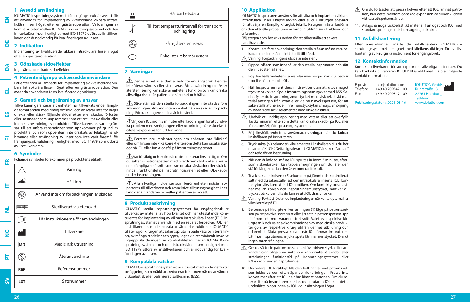#### **1 Avsedd användning**

IOLMATIC-insprutningssystemet för engångsbruk är avsett för att användas för implantering av kvalificerade vikbara intraokulära linser i ögat efter en gråstarroperation. Valideringen av kombabiliteten mellan IOLMATIC-insprutningssystemet och den intraokulära linsen i enlighet med ISO 11979 utförs av linstillverkaren och är nödvändig för kvalificeringen av linsen.

#### **2 Indikation DE**

**EN**

**DA**

**EL**

**ES**

**FI**

Inplantering av kvalificerade vikbara intraokulära linser i ögat efter en gråstarroperation.

#### **3 Oönskade sidoeffekter**

Inga kända oönskade sidoeffekter.

#### **4 Patientmålgrupp och avsedda användare**

Patienter som är lämpade för implantering av kvalificerade vikbara intraokulära linser i ögat efter en gråstarroperation. Den avsedda användaren är en kvalificerad ögonkirurg.

## **5 Garanti och begränsning av ansvar**

Tillverkaren garanterar att enheten har tillverkats under lämpliga förhållanden med rimlig omsorg, och ansvarar inte för några direkta eller därav följande sidoeffekter eller skador, förluster eller kostnader som uppkommer som ett resultat av direkt eller indirekt användning av produkten. Tillverkarens ansvar begränsas till att utföra reparationer som uppkommer på grund av produktfel och som uppenbart inte orsakats av felaktigt handhavande eller användning av linser som inte varit föremål för framgångsrik validering i enlighet med ISO 11979 som utförts av linstillverkaren.

### **6 Symboler**

Följande symboler förekommer på produktens etikett.

**FR**  $\sqrt{1}$ Varning Håll torr  $\mathbb T$ **IT**  $\circledR$ Använd inte om förpackningen är skadad Steriliserad via etenoxid **STERILE**EO  $\overline{\mathbf{z}}$  $\mathbb{H}$ Läs instruktionerna för användningen **NO** Tillverkare **MD** Medicinsk utrustning  $\circled{2}$ **PT** Återanvänd inte **REF** Referensnummer **SV**LOT Satsnummer

|   | Hållbarhetsdata                                           |
|---|-----------------------------------------------------------|
| ł | Tillåtet temperaturintervall för transport<br>och lagring |
|   | Får ej återsteriliseras                                   |
|   | Enkel sterilt barriärsystem                               |

### **7 Varningar**

j

 $\sqrt{!}$  Denna enhet är endast avsedd för engångsbruk. Den får inte återanvändas eller steriliseras. Återanvändning och/eller återsterilisering kan riskerar enhetens funktion och kan orsaka allvarliga risker för patientens säkerhet och hälsa.

 $\sqrt{ }$  Säkerställ att den sterila förpackningen inte skadas före användningen. Använd inte en enhet från en skadad förpackning. Förpackningens utsida är inte steril.

 $\bigwedge$  Iniicera IOL inom 3 minuter efter laddningen för att undvika problem med smörjningen eller uttorkning när viskoelasticiteten exponeras för luft för länge.

 $\triangle$  Fortsätt inte implanteringen om enheten inte "klickar" eller om linsen inte viks korrekt eftersom detta kan orsaka skador på IOL eller funktionsfel på insprutningssystemet.

 Var försiktig och exakt när du implanterar linsen i ögat. Om du sätter in patronspetsen med överdriven styrka eller använder olämpliga små snitt som kan orsaka sårskador eller sträckningar, funktionsfel på insprutningssystemet eller IOL-skador under insprutningen.

 $\bigwedge$  Alla allvarliga incidenter som berör enheten måste rapporteras till tillverkaren och respektive tillsynsmyndighet i det land där användaren och/eller patienten är bosatt.

### **8 Produktbeskrivning**

IOLMATIC sterila insprutningssystemet för engångsbruk är tillverkat av material av hög kvalitet och har uteslutande konstruerats för implantering av vikbara intraokulära linser (IOL). Insprutningssystemet används med en separat förpackad IOL i en linshållarenhet med separata användarinstruktioner. IOLMATIC tillåter ögonkirurgen att säkert spruta in både våta och torra linser, av många storlekar och typer, i ögat via ett minimalt invasivt ingrepp. Valideringen av kombabiliteten mellan IOLMATIC-insprutningssystemet och den intraokulära linsen i enlighet med ISO 11979 utförs av linstillverkaren och är nödvändig för kvalificeringen av linsen.

### **9 Kompatibla vätskor**

IOLMATIC-insprutningssystemet är utrustat med en högeffektiv beläggning, som märkbart reducerar friktionen när du använder viskoelastisk eller balanserad saltlösning (BSS).

## **10 Applikation**

IOLMATIC-insprutaren används för att vika och implantera vikbara intraokulära linser i kapselsäcken eller sulcus. Kirurgen ansvarar för att välja en lämplig kirurgisk teknik. Kirurgen måste bedöma om den aktuella proceduren är lämplig utifrån sin utbildning och erfarenhet.

Följ stegen som beskrivs nedan för att säkerställa ett säkert handhavande.

- 1. Kontrollera före användning: den sterila blåsan måste vara oskadad och innehållet i ett sterilt tillstånd.
- Varning: Förpackningens utsida är inte steril.
- 2. Öppna blåsan som innehåller den sterila insprutaren och sätt den i det sterila fältet.
- 3. Följ linshållarenhetens användaranvisningar när du packar upp linshållaren och IOL.
- 4. Håll insprutaren runt dess mittsektion utan att utöva något tryck mot kolven. Spola insprutningsmunstycket med BSS. Sedan fyller du insprutningsmunstycket med viskoelastiskt material antingen från ovan eller via munstycksspetsen, för att säkerställa att hela den inre munstycksytan smörjs. Smörjning av båda sidor av vikelementet med viskoelastiken.
- $\sqrt{\hat{}}$  Undvik otillräcklig applicering med vätska eller att överfylla lastkammaren, eftersom detta kan orsaka skador på IOL eller funktionsfel på insprutningssystemet.
- 5. Följ linshållarenhetens användaranvisningar när du laddar linshållaren på insprutaren.
- 6. Tryck sakta (>3 sekunder) vikelementet i linshållaren tills du hör ett andra "KLICK". Detta signalerar att IOLMATIC är säkert "laddad" och redo för en insprutning.
- 7. När den är laddad, måste IOL sprutas in inom 3 minuter, eftersom viskoelastiken kan tappa smörjningen om du låter den stå för länge medan den är exponerad för luft.
- 8. Tryck sakta in kolven (>5 sekunder) på jämnt och kontrollerat sätt med du säkerställer att den intraokulära linsens (IOL) kontaktytor viks korrekt in i IOL-optiken. Om kontaktytorna fastnar mellan kolven och insprutningsmunstycket, minskar du trycket på kolven tills du kan se att IOL dras tillbaka.
- $\sqrt{N}$  Varning: Fortsätt först med implanteringen när kontaktytorna har vikts korrekt på IOL.
- 9. Beroende på kirurgtekniken antingen (1) läge på patronspetsen på respektive stora snitt eller (2) sätt in patronspetsen upp till 4mm i ett motsvarande stort snitt. Valet av respektive kirurgteknik och valet av kombinationen av medicinska produkter görs av respektive kirurg utifrån dennes utbildning och erfarenhet. Sluta pressa kolven när IOL lämnar insprutaren. Låt inte insprutarens mjuka spets lämna munstycket. Dra ut insprutaren från ögat.
- $\wedge$  Om du sätter in patronspetsen med överdriven styrka eller använder olämpliga små snitt som kan orsaka sårskador eller sträckningar, funktionsfel på insprutningssystemet eller IOL-skador under insprutningen.
- 10. Dra vidare IOL försiktigt tills den helt har lämnat patronspetsen inklusive den eftersläpande vidhäftningen. Pressa inte kolven mer efter att IOL helt har lämnat patronen. Om du roterar lite på insprutaren medan du sprutar in IOL, kan detta underlätta placeringen av IOL vid insättningen i ögat.
- Om du fortsätter att pressa kolven efter att IOL lämnat patronen, kan detta medföra oönskad expansion av silikonkudden vid kassettspetsens ände.
- 11. Avlägsna noga viskoelastiskt material från ögat och IOL med standardspolnings- och bortsugningstekniker.

## **11 Avfallshantering**

Efter användningen måste du avfallshantera IOLMATIC-insprutningssystemet i enlighet med klinikens riktlinjer för avfallshantering av kirurgiska instrument för engångsbruk.

#### **12 Kontaktinformation**

Kontakta tillverkaren för att rapportera allvarliga incidenter. Du kan kontakta tillverkaren IOLUTION GmbH med hjälp av följande kontaktinformation:

| E-post:  | info@iolution.com | <b>IOLUTION GmbH</b> |
|----------|-------------------|----------------------|
|          |                   |                      |
| Telefon: | +49 40 209347-100 | <b>Ruhrstraße 13</b> |
| Fax:     | +49 40 209347-109 | 22761 Hamburg.       |
|          |                   | <b>Tyskland</b>      |

hrstraße 13 761 Hamburg, Publiceringsdatum: 2021-03-16 www.iolution.com